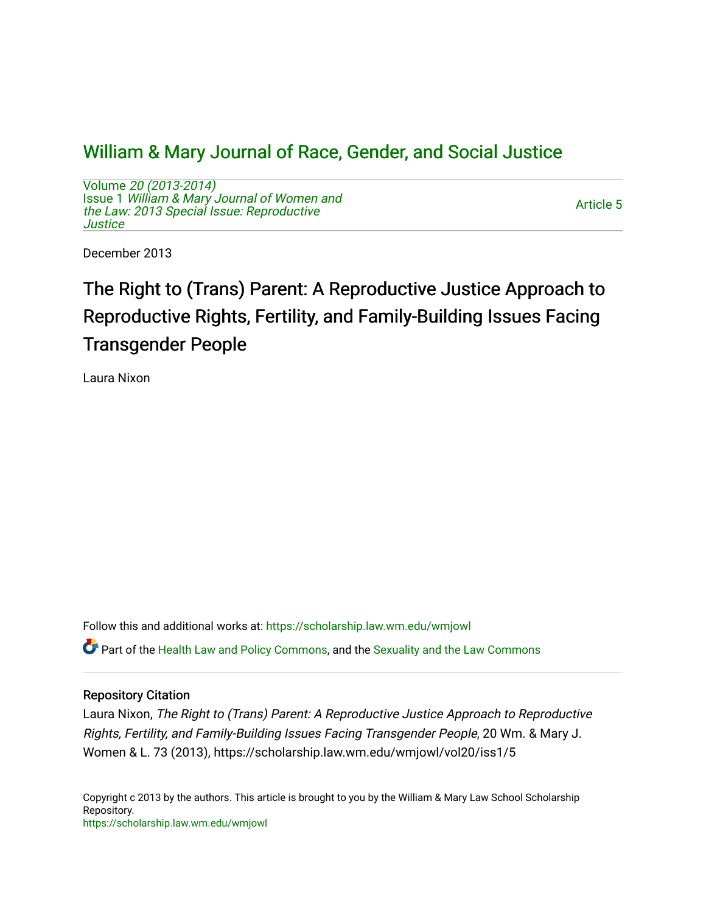## [William & Mary Journal of Race, Gender, and Social Justice](https://scholarship.law.wm.edu/wmjowl)

Volume [20 \(2013-2014\)](https://scholarship.law.wm.edu/wmjowl/vol20)  Issue 1 [William & Mary Journal of Women and](https://scholarship.law.wm.edu/wmjowl/vol20/iss1) [the Law: 2013 Special Issue: Reproductive](https://scholarship.law.wm.edu/wmjowl/vol20/iss1) **Justice** 

[Article 5](https://scholarship.law.wm.edu/wmjowl/vol20/iss1/5) 

December 2013

# The Right to (Trans) Parent: A Reproductive Justice Approach to Reproductive Rights, Fertility, and Family-Building Issues Facing Transgender People

Laura Nixon

Follow this and additional works at: [https://scholarship.law.wm.edu/wmjowl](https://scholarship.law.wm.edu/wmjowl?utm_source=scholarship.law.wm.edu%2Fwmjowl%2Fvol20%2Fiss1%2F5&utm_medium=PDF&utm_campaign=PDFCoverPages) 

Part of the [Health Law and Policy Commons](http://network.bepress.com/hgg/discipline/901?utm_source=scholarship.law.wm.edu%2Fwmjowl%2Fvol20%2Fiss1%2F5&utm_medium=PDF&utm_campaign=PDFCoverPages), and the [Sexuality and the Law Commons](http://network.bepress.com/hgg/discipline/877?utm_source=scholarship.law.wm.edu%2Fwmjowl%2Fvol20%2Fiss1%2F5&utm_medium=PDF&utm_campaign=PDFCoverPages)

## Repository Citation

Laura Nixon, The Right to (Trans) Parent: A Reproductive Justice Approach to Reproductive Rights, Fertility, and Family-Building Issues Facing Transgender People, 20 Wm. & Mary J. Women & L. 73 (2013), https://scholarship.law.wm.edu/wmjowl/vol20/iss1/5

Copyright c 2013 by the authors. This article is brought to you by the William & Mary Law School Scholarship Repository. <https://scholarship.law.wm.edu/wmjowl>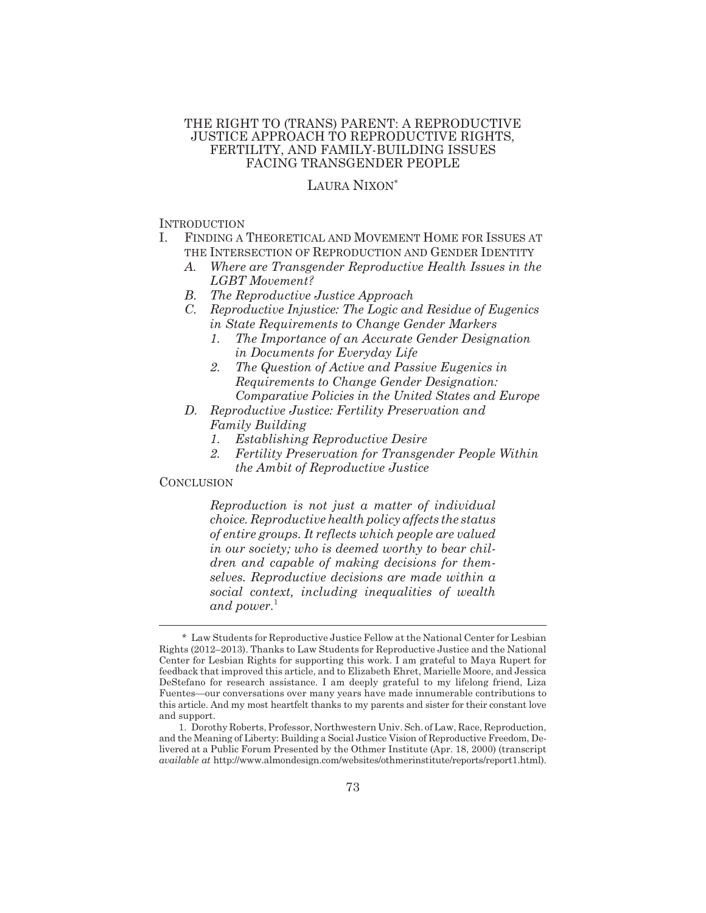## THE RIGHT TO (TRANS) PARENT: A REPRODUCTIVE JUSTICE APPROACH TO REPRODUCTIVE RIGHTS, FERTILITY, AND FAMILY-BUILDING ISSUES FACING TRANSGENDER PEOPLE

## LAURA NIXON\*

#### INTRODUCTION

- I. FINDING A THEORETICAL AND MOVEMENT HOME FOR ISSUES AT THE INTERSECTION OF REPRODUCTION AND GENDER IDENTITY
	- *A. Where are Transgender Reproductive Health Issues in the LGBT Movement?*
	- *B. The Reproductive Justice Approach*
	- *C. Reproductive Injustice: The Logic and Residue of Eugenics in State Requirements to Change Gender Markers*
		- *1. The Importance of an Accurate Gender Designation in Documents for Everyday Life*
		- *2. The Question of Active and Passive Eugenics in Requirements to Change Gender Designation: Comparative Policies in the United States and Europe*
	- *D. Reproductive Justice: Fertility Preservation and Family Building*
		- *1. Establishing Reproductive Desire*
		- *2. Fertility Preservation for Transgender People Within the Ambit of Reproductive Justice*

## **CONCLUSION**

*Reproduction is not just a matter of individual choice. Reproductive health policy affects the status of entire groups. It reflects which people are valued in our society; who is deemed worthy to bear children and capable of making decisions for themselves. Reproductive decisions are made within a social context, including inequalities of wealth* and power.<sup>1</sup>

<sup>\*</sup> Law Students for Reproductive Justice Fellow at the National Center for Lesbian Rights (2012–2013). Thanks to Law Students for Reproductive Justice and the National Center for Lesbian Rights for supporting this work. I am grateful to Maya Rupert for feedback that improved this article, and to Elizabeth Ehret, Marielle Moore, and Jessica DeStefano for research assistance. I am deeply grateful to my lifelong friend, Liza Fuentes—our conversations over many years have made innumerable contributions to this article. And my most heartfelt thanks to my parents and sister for their constant love and support.

<sup>1.</sup> Dorothy Roberts, Professor, Northwestern Univ. Sch. of Law, Race, Reproduction, and the Meaning of Liberty: Building a Social Justice Vision of Reproductive Freedom, Delivered at a Public Forum Presented by the Othmer Institute (Apr. 18, 2000) (transcript *available at* http://www.almondesign.com/websites/othmerinstitute/reports/report1.html).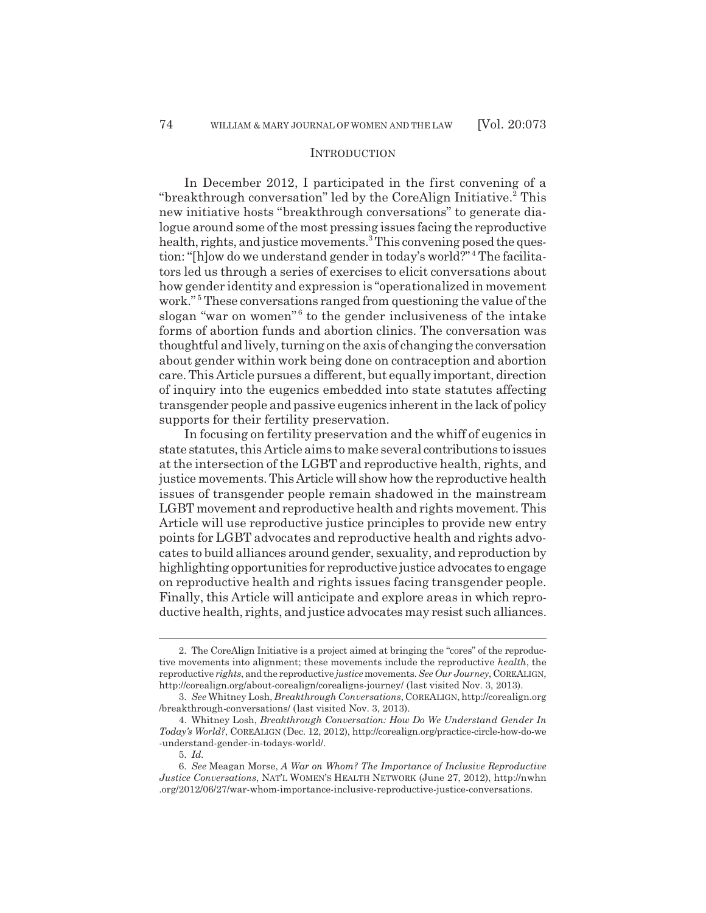#### **INTRODUCTION**

In December 2012, I participated in the first convening of a "breakthrough conversation" led by the CoreAlign Initiative.<sup>2</sup> This new initiative hosts "breakthrough conversations" to generate dialogue around some of the most pressing issues facing the reproductive health, rights, and justice movements.<sup>3</sup> This convening posed the question: "[h]ow do we understand gender in today's world?"<sup>4</sup> The facilitators led us through a series of exercises to elicit conversations about how gender identity and expression is "operationalized in movement work."<sup>5</sup> These conversations ranged from questioning the value of the slogan "war on women"<sup>6</sup> to the gender inclusiveness of the intake forms of abortion funds and abortion clinics. The conversation was thoughtful and lively, turning on the axis of changing the conversation about gender within work being done on contraception and abortion care. This Article pursues a different, but equally important, direction of inquiry into the eugenics embedded into state statutes affecting transgender people and passive eugenics inherent in the lack of policy supports for their fertility preservation.

In focusing on fertility preservation and the whiff of eugenics in state statutes, this Article aims to make several contributions to issues at the intersection of the LGBT and reproductive health, rights, and justice movements. This Article will show how the reproductive health issues of transgender people remain shadowed in the mainstream LGBT movement and reproductive health and rights movement. This Article will use reproductive justice principles to provide new entry points for LGBT advocates and reproductive health and rights advocates to build alliances around gender, sexuality, and reproduction by highlighting opportunities for reproductive justice advocates to engage on reproductive health and rights issues facing transgender people. Finally, this Article will anticipate and explore areas in which reproductive health, rights, and justice advocates may resist such alliances.

<sup>2.</sup> The CoreAlign Initiative is a project aimed at bringing the "cores" of the reproductive movements into alignment; these movements include the reproductive *health*, the reproductive *rights*, and the reproductive *justice* movements. *See Our Journey*, COREALIGN, http://corealign.org/about-corealign/corealigns-journey/ (last visited Nov. 3, 2013).

<sup>3.</sup> *See* Whitney Losh, *Breakthrough Conversations*, COREALIGN, http://corealign.org /breakthrough-conversations/ (last visited Nov. 3, 2013).

<sup>4.</sup> Whitney Losh, *Breakthrough Conversation: How Do We Understand Gender In Today's World?*, COREALIGN (Dec. 12, 2012), http://corealign.org/practice-circle-how-do-we -understand-gender-in-todays-world/.

<sup>5.</sup> *Id.*

<sup>6.</sup> *See* Meagan Morse, *A War on Whom? The Importance of Inclusive Reproductive Justice Conversations*, NAT'L WOMEN'S HEALTH NETWORK (June 27, 2012), http://nwhn .org/2012/06/27/war-whom-importance-inclusive-reproductive-justice-conversations.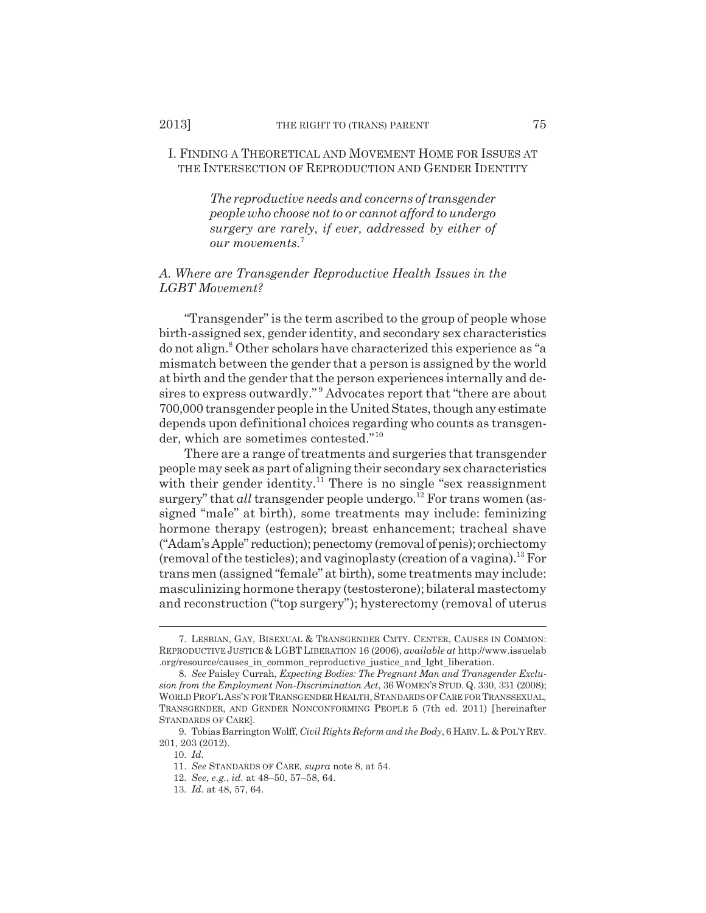## I. FINDING A THEORETICAL AND MOVEMENT HOME FOR ISSUES AT THE INTERSECTION OF REPRODUCTION AND GENDER IDENTITY

*The reproductive needs and concerns of transgender people who choose not to or cannot afford to undergo surgery are rarely, if ever, addressed by either of our movements.*<sup>7</sup>

## *A. Where are Transgender Reproductive Health Issues in the LGBT Movement?*

"Transgender" is the term ascribed to the group of people whose birth-assigned sex, gender identity, and secondary sex characteristics do not align.<sup>8</sup> Other scholars have characterized this experience as "a mismatch between the gender that a person is assigned by the world at birth and the gender that the person experiences internally and desires to express outwardly." <sup>9</sup> Advocates report that "there are about 700,000 transgender people in the United States, though any estimate depends upon definitional choices regarding who counts as transgender, which are sometimes contested."<sup>10</sup>

There are a range of treatments and surgeries that transgender people may seek as part of aligning their secondary sex characteristics with their gender identity.<sup>11</sup> There is no single "sex reassignment" surgery" that *all* transgender people undergo.<sup>12</sup> For trans women (assigned "male" at birth), some treatments may include: feminizing hormone therapy (estrogen); breast enhancement; tracheal shave ("Adam's Apple" reduction); penectomy (removal of penis); orchiectomy (removal of the testicles); and vaginoplasty (creation of a vagina).<sup>13</sup> For trans men (assigned "female" at birth), some treatments may include: masculinizing hormone therapy (testosterone); bilateral mastectomy and reconstruction ("top surgery"); hysterectomy (removal of uterus

<sup>7.</sup> LESBIAN, GAY, BISEXUAL & TRANSGENDER CMTY. CENTER, CAUSES IN COMMON: REPRODUCTIVE JUSTICE & LGBT LIBERATION 16 (2006), *available at* http://www.issuelab .org/resource/causes\_in\_common\_reproductive\_justice\_and\_lgbt\_liberation.

<sup>8.</sup> *See* Paisley Currah, *Expecting Bodies: The Pregnant Man and Transgender Exclusion from the Employment Non-Discrimination Act*, 36 WOMEN'S STUD. Q. 330, 331 (2008); WORLD PROF'L ASS'N FOR TRANSGENDER HEALTH, STANDARDS OF CARE FOR TRANSSEXUAL, TRANSGENDER, AND GENDER NONCONFORMING PEOPLE 5 (7th ed. 2011) [hereinafter STANDARDS OF CARE].

<sup>9.</sup> Tobias Barrington Wolff, *Civil Rights Reform and the Body*, 6 HARV.L.&POL'Y REV. 201, 203 (2012).

<sup>10.</sup> *Id.*

<sup>11.</sup> *See* STANDARDS OF CARE, *supra* note 8, at 54.

<sup>12.</sup> *See, e.g.*, *id.* at 48–50, 57–58, 64.

<sup>13.</sup> *Id.* at 48, 57, 64.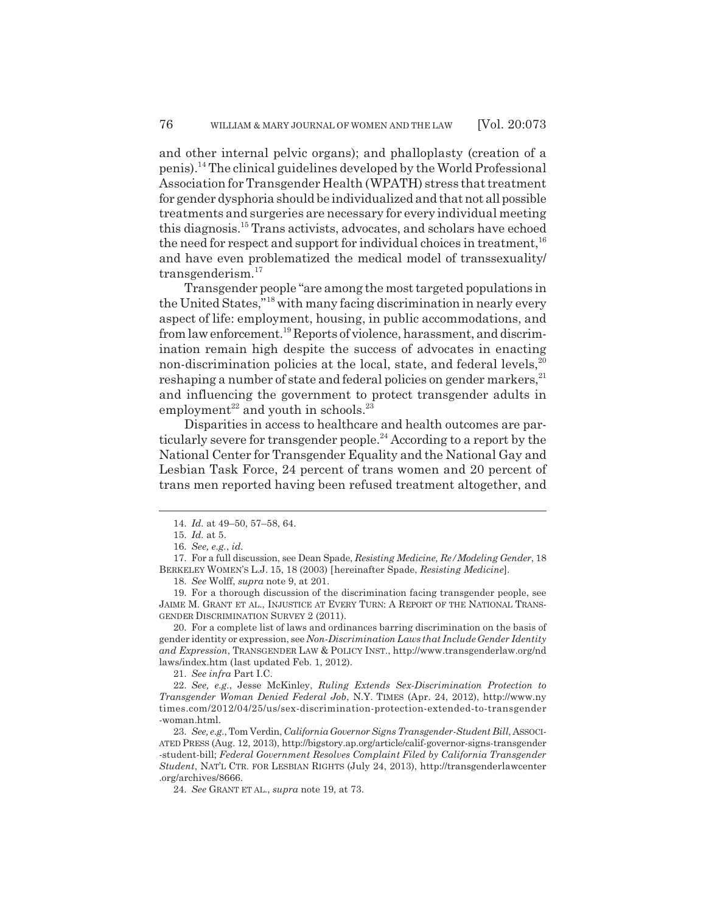and other internal pelvic organs); and phalloplasty (creation of a penis).14 The clinical guidelines developed by the World Professional Association for Transgender Health (WPATH) stress that treatment for gender dysphoria should be individualized and that not all possible treatments and surgeries are necessary for every individual meeting this diagnosis.15 Trans activists, advocates, and scholars have echoed the need for respect and support for individual choices in treatment,  $16$ and have even problematized the medical model of transsexuality/ transgenderism.<sup>17</sup>

Transgender people "are among the most targeted populations in the United States,"18 with many facing discrimination in nearly every aspect of life: employment, housing, in public accommodations, and from law enforcement.<sup>19</sup> Reports of violence, harassment, and discrimination remain high despite the success of advocates in enacting non-discrimination policies at the local, state, and federal levels,<sup>20</sup> reshaping a number of state and federal policies on gender markers,<sup>21</sup> and influencing the government to protect transgender adults in employment<sup>22</sup> and youth in schools.<sup>23</sup>

Disparities in access to healthcare and health outcomes are particularly severe for transgender people.<sup>24</sup> According to a report by the National Center for Transgender Equality and the National Gay and Lesbian Task Force, 24 percent of trans women and 20 percent of trans men reported having been refused treatment altogether, and

18. *See* Wolff, *supra* note 9, at 201.

19. For a thorough discussion of the discrimination facing transgender people, see JAIME M. GRANT ET AL., INJUSTICE AT EVERY TURN: A REPORT OF THE NATIONAL TRANS-GENDER DISCRIMINATION SURVEY 2 (2011).

20. For a complete list of laws and ordinances barring discrimination on the basis of gender identity or expression, see *Non-Discrimination Laws that Include Gender Identity and Expression*, TRANSGENDER LAW & POLICY INST., http://www.transgenderlaw.org/nd laws/index.htm (last updated Feb. 1, 2012).

21. *See infra* Part I.C.

22. *See, e.g.*, Jesse McKinley, *Ruling Extends Sex-Discrimination Protection to Transgender Woman Denied Federal Job*, N.Y. TIMES (Apr. 24, 2012), http://www.ny times.com/2012/04/25/us/sex-discrimination-protection-extended-to-transgender -woman.html.

23. *See, e.g.*, Tom Verdin, *California Governor Signs Transgender-Student Bill*, ASSOCI-ATED PRESS (Aug. 12, 2013), http://bigstory.ap.org/article/calif-governor-signs-transgender -student-bill; *Federal Government Resolves Complaint Filed by California Transgender Student*, NAT'L CTR. FOR LESBIAN RIGHTS (July 24, 2013), http://transgenderlawcenter .org/archives/8666.

24. *See* GRANT ET AL., *supra* note 19, at 73.

<sup>14.</sup> *Id.* at 49–50, 57–58, 64.

<sup>15.</sup> *Id.* at 5.

<sup>16.</sup> *See, e.g.*, *id.*

<sup>17.</sup> For a full discussion, see Dean Spade, *Resisting Medicine, Re/Modeling Gender*, 18 BERKELEY WOMEN'S L.J. 15, 18 (2003) [hereinafter Spade, *Resisting Medicine*].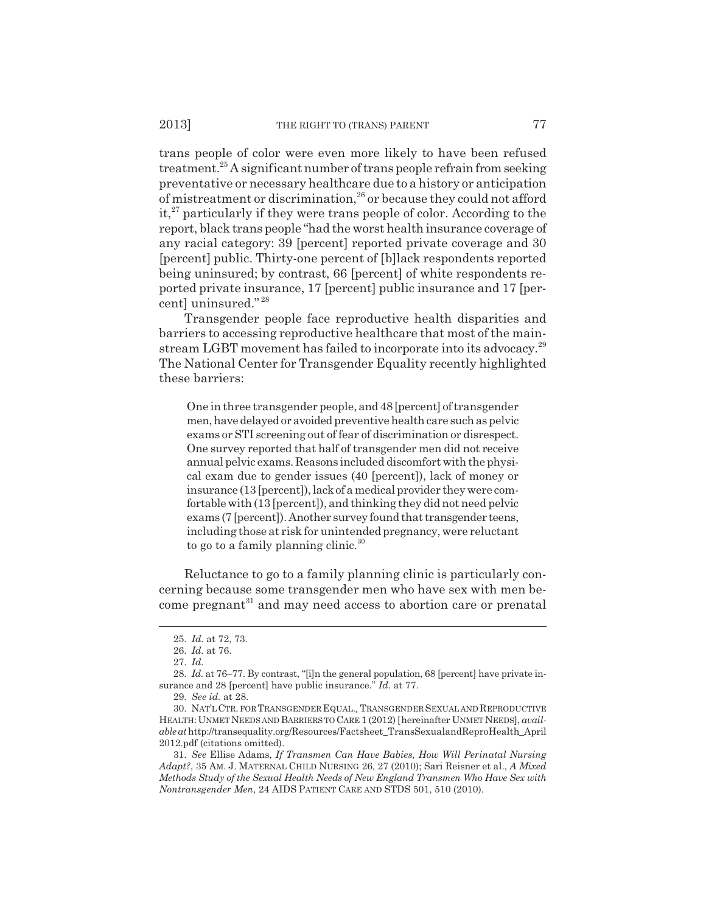trans people of color were even more likely to have been refused treatment.25 A significant number of trans people refrain from seeking preventative or necessary healthcare due to a history or anticipation of mistreatment or discrimination,<sup>26</sup> or because they could not afford  $it, 27$  particularly if they were trans people of color. According to the report, black trans people "had the worst health insurance coverage of any racial category: 39 [percent] reported private coverage and 30 [percent] public. Thirty-one percent of [b]lack respondents reported being uninsured; by contrast, 66 [percent] of white respondents reported private insurance, 17 [percent] public insurance and 17 [percent] uninsured." <sup>28</sup>

Transgender people face reproductive health disparities and barriers to accessing reproductive healthcare that most of the mainstream LGBT movement has failed to incorporate into its advocacy.<sup>29</sup> The National Center for Transgender Equality recently highlighted these barriers:

One in three transgender people, and 48 [percent] of transgender men, have delayed or avoided preventive health care such as pelvic exams or STI screening out of fear of discrimination or disrespect. One survey reported that half of transgender men did not receive annual pelvic exams. Reasons included discomfort with the physical exam due to gender issues (40 [percent]), lack of money or insurance (13 [percent]), lack of a medical provider they were comfortable with (13 [percent]), and thinking they did not need pelvic exams (7 [percent]). Another survey found that transgender teens, including those at risk for unintended pregnancy, were reluctant to go to a family planning clinic.<sup>30</sup>

Reluctance to go to a family planning clinic is particularly concerning because some transgender men who have sex with men become pregnant<sup>31</sup> and may need access to abortion care or prenatal

<sup>25.</sup> *Id.* at 72, 73.

<sup>26.</sup> *Id.* at 76.

<sup>27.</sup> *Id.*

<sup>28.</sup> *Id.* at 76–77. By contrast, "[i]n the general population, 68 [percent] have private insurance and 28 [percent] have public insurance." *Id.* at 77.

<sup>29.</sup> *See id.* at 28.

<sup>30.</sup> NAT'L CTR. FOR TRANSGENDER EQUAL.*,* TRANSGENDER SEXUAL AND REPRODUCTIVE HEALTH: UNMET NEEDS AND BARRIERS TO CARE 1 (2012) [hereinafter UNMET NEEDS], *available at* http://transequality.org/Resources/Factsheet\_TransSexualandReproHealth\_April 2012.pdf (citations omitted).

<sup>31.</sup> *See* Ellise Adams, *If Transmen Can Have Babies, How Will Perinatal Nursing Adapt?*, 35 AM. J. MATERNAL CHILD NURSING 26, 27 (2010); Sari Reisner et al., *A Mixed Methods Study of the Sexual Health Needs of New England Transmen Who Have Sex with Nontransgender Men*, 24 AIDS PATIENT CARE AND STDS 501, 510 (2010).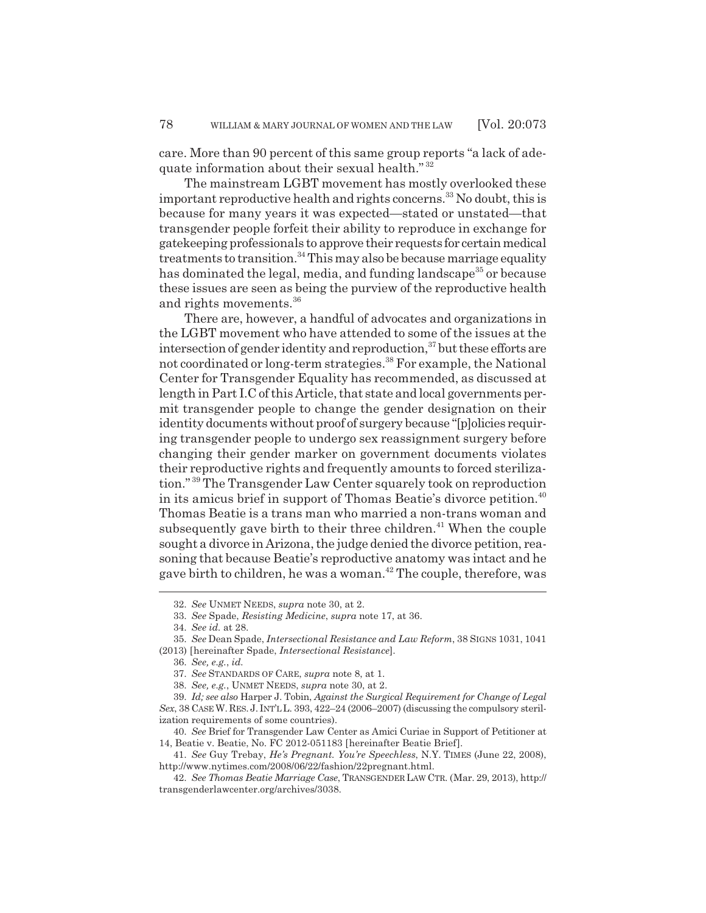care. More than 90 percent of this same group reports "a lack of adequate information about their sexual health."<sup>32</sup>

The mainstream LGBT movement has mostly overlooked these important reproductive health and rights concerns.<sup>33</sup> No doubt, this is because for many years it was expected—stated or unstated—that transgender people forfeit their ability to reproduce in exchange for gatekeeping professionals to approve their requests for certain medical treatments to transition.<sup>34</sup> This may also be because marriage equality has dominated the legal, media, and funding landscape<sup>35</sup> or because these issues are seen as being the purview of the reproductive health and rights movements.<sup>36</sup>

There are, however, a handful of advocates and organizations in the LGBT movement who have attended to some of the issues at the intersection of gender identity and reproduction, $37$  but these efforts are not coordinated or long-term strategies.<sup>38</sup> For example, the National Center for Transgender Equality has recommended, as discussed at length in Part I.C of this Article, that state and local governments permit transgender people to change the gender designation on their identity documents without proof of surgery because "[p]olicies requiring transgender people to undergo sex reassignment surgery before changing their gender marker on government documents violates their reproductive rights and frequently amounts to forced sterilization." 39 The Transgender Law Center squarely took on reproduction in its amicus brief in support of Thomas Beatie's divorce petition.<sup>40</sup> Thomas Beatie is a trans man who married a non-trans woman and subsequently gave birth to their three children.<sup> $41$ </sup> When the couple sought a divorce in Arizona, the judge denied the divorce petition, reasoning that because Beatie's reproductive anatomy was intact and he gave birth to children, he was a woman.<sup>42</sup> The couple, therefore, was

<sup>32.</sup> *See* UNMET NEEDS, *supra* note 30, at 2.

<sup>33.</sup> *See* Spade, *Resisting Medicine*, *supra* note 17, at 36.

<sup>34.</sup> *See id.* at 28.

<sup>35.</sup> *See* Dean Spade, *Intersectional Resistance and Law Reform*, 38 SIGNS 1031, 1041

<sup>(2013) [</sup>hereinafter Spade, *Intersectional Resistance*].

<sup>36.</sup> *See, e.g.*, *id.*

<sup>37.</sup> *See* STANDARDS OF CARE, *supra* note 8, at 1.

<sup>38.</sup> *See, e.g.*, UNMET NEEDS, *supra* note 30, at 2.

<sup>39.</sup> *Id; see also* Harper J. Tobin, *Against the Surgical Requirement for Change of Legal Sex*, 38 CASE W. RES. J. INT'L L. 393, 422–24 (2006–2007) (discussing the compulsory sterilization requirements of some countries).

<sup>40.</sup> *See* Brief for Transgender Law Center as Amici Curiae in Support of Petitioner at 14, Beatie v. Beatie, No. FC 2012-051183 [hereinafter Beatie Brief].

<sup>41.</sup> *See* Guy Trebay, *He's Pregnant. You're Speechless*, N.Y. TIMES (June 22, 2008), http://www.nytimes.com/2008/06/22/fashion/22pregnant.html.

<sup>42.</sup> *See Thomas Beatie Marriage Case*, TRANSGENDER LAW CTR. (Mar. 29, 2013), http:// transgenderlawcenter.org/archives/3038.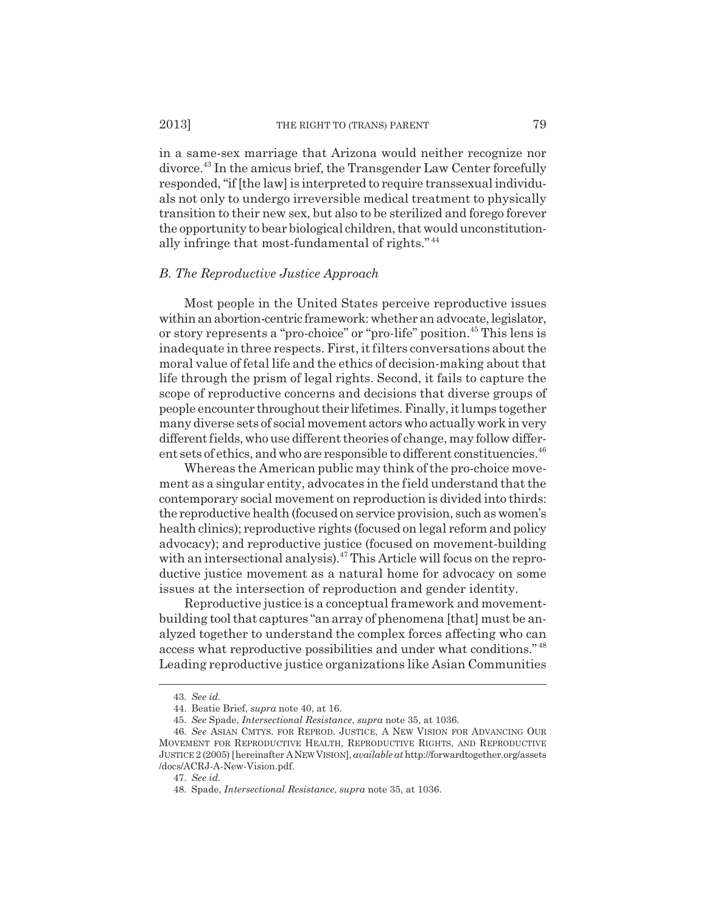#### 2013] THE RIGHT TO (TRANS) PARENT 79

in a same-sex marriage that Arizona would neither recognize nor divorce.43 In the amicus brief, the Transgender Law Center forcefully responded, "if [the law] is interpreted to require transsexual individuals not only to undergo irreversible medical treatment to physically transition to their new sex, but also to be sterilized and forego forever the opportunity to bear biological children, that would unconstitutionally infringe that most-fundamental of rights." <sup>44</sup>

#### *B. The Reproductive Justice Approach*

Most people in the United States perceive reproductive issues within an abortion-centric framework: whether an advocate, legislator, or story represents a "pro-choice" or "pro-life" position.45 This lens is inadequate in three respects. First, it filters conversations about the moral value of fetal life and the ethics of decision-making about that life through the prism of legal rights. Second, it fails to capture the scope of reproductive concerns and decisions that diverse groups of people encounter throughout their lifetimes. Finally, it lumps together many diverse sets of social movement actors who actually work in very different fields, who use different theories of change, may follow different sets of ethics, and who are responsible to different constituencies.<sup>46</sup>

Whereas the American public may think of the pro-choice movement as a singular entity, advocates in the field understand that the contemporary social movement on reproduction is divided into thirds: the reproductive health (focused on service provision, such as women's health clinics); reproductive rights (focused on legal reform and policy advocacy); and reproductive justice (focused on movement-building with an intersectional analysis).<sup>47</sup> This Article will focus on the reproductive justice movement as a natural home for advocacy on some issues at the intersection of reproduction and gender identity.

Reproductive justice is a conceptual framework and movementbuilding tool that captures "an array of phenomena [that] must be analyzed together to understand the complex forces affecting who can access what reproductive possibilities and under what conditions." <sup>48</sup> Leading reproductive justice organizations like Asian Communities

<sup>43.</sup> *See id.*

<sup>44.</sup> Beatie Brief, *supra* note 40, at 16.

<sup>45.</sup> *See* Spade, *Intersectional Resistance*, *supra* note 35, at 1036.

<sup>46.</sup> *See* ASIAN CMTYS. FOR REPROD. JUSTICE, A NEW VISION FOR ADVANCING OUR MOVEMENT FOR REPRODUCTIVE HEALTH, REPRODUCTIVE RIGHTS, AND REPRODUCTIVE JUSTICE 2 (2005) [hereinafter ANEW VISION], *available at* http://forwardtogether.org/assets /docs/ACRJ-A-New-Vision.pdf.

<sup>47.</sup> *See id.*

<sup>48.</sup> Spade, *Intersectional Resistance*, *supra* note 35, at 1036.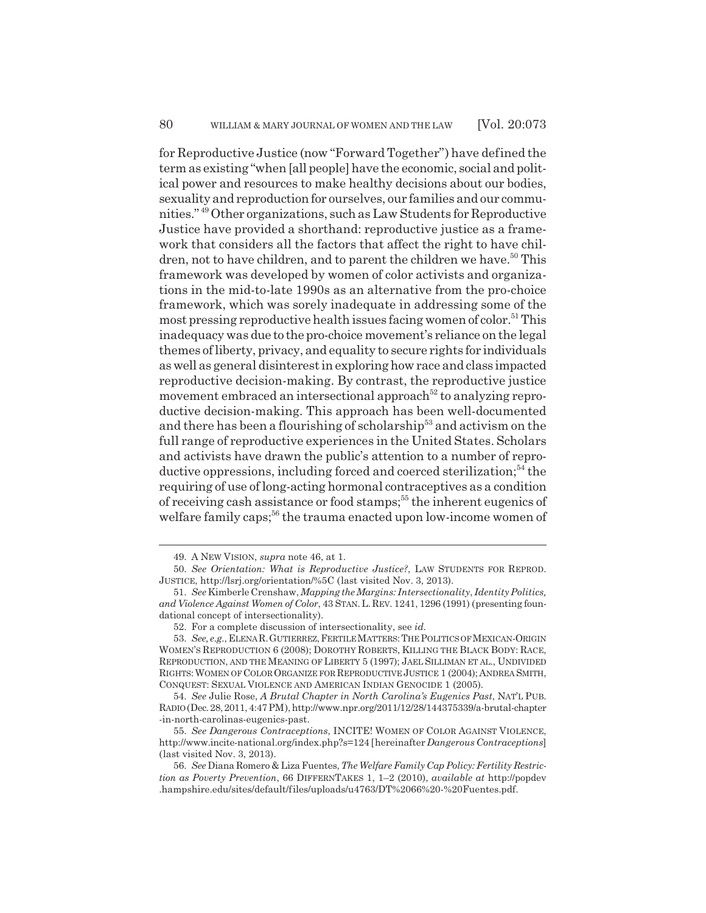for Reproductive Justice (now "Forward Together") have defined the term as existing "when [all people] have the economic, social and political power and resources to make healthy decisions about our bodies, sexuality and reproduction for ourselves, our families and our communities." 49 Other organizations, such as Law Students for Reproductive Justice have provided a shorthand: reproductive justice as a framework that considers all the factors that affect the right to have children, not to have children, and to parent the children we have.<sup>50</sup> This framework was developed by women of color activists and organizations in the mid-to-late 1990s as an alternative from the pro-choice framework, which was sorely inadequate in addressing some of the most pressing reproductive health issues facing women of color.<sup>51</sup> This inadequacy was due to the pro-choice movement's reliance on the legal themes of liberty, privacy, and equality to secure rights for individuals as well as general disinterest in exploring how race and class impacted reproductive decision-making. By contrast, the reproductive justice movement embraced an intersectional approach<sup>52</sup> to analyzing reproductive decision-making. This approach has been well-documented and there has been a flourishing of scholarship<sup>53</sup> and activism on the full range of reproductive experiences in the United States. Scholars and activists have drawn the public's attention to a number of reproductive oppressions, including forced and coerced sterilization;<sup>54</sup> the requiring of use of long-acting hormonal contraceptives as a condition of receiving cash assistance or food stamps;<sup>55</sup> the inherent eugenics of welfare family caps;<sup>56</sup> the trauma enacted upon low-income women of

<sup>49.</sup> A NEW VISION, *supra* note 46, at 1.

<sup>50.</sup> *See Orientation: What is Reproductive Justice?*, LAW STUDENTS FOR REPROD. JUSTICE, http://lsrj.org/orientation/%5C (last visited Nov. 3, 2013).

<sup>51.</sup> *See* Kimberle Crenshaw, *Mapping the Margins: Intersectionality*, *Identity Politics, and Violence Against Women of Color*, 43 STAN.L.REV. 1241, 1296 (1991) (presenting foundational concept of intersectionality).

<sup>52.</sup> For a complete discussion of intersectionality, see *id.*

<sup>53.</sup> *See, e.g.*, ELENA R.GUTIERREZ,FERTILE MATTERS:THE POLITICS OF MEXICAN-ORIGIN WOMEN'S REPRODUCTION 6 (2008); DOROTHY ROBERTS, KILLING THE BLACK BODY: RACE, REPRODUCTION, AND THE MEANING OF LIBERTY 5 (1997); JAEL SILLIMAN ET AL., UNDIVIDED RIGHTS:WOMEN OF COLOR ORGANIZE FOR REPRODUCTIVE JUSTICE 1 (2004); ANDREA SMITH, CONQUEST: SEXUAL VIOLENCE AND AMERICAN INDIAN GENOCIDE 1 (2005).

<sup>54.</sup> *See* Julie Rose, *A Brutal Chapter in North Carolina's Eugenics Past*, NAT'L PUB. RADIO (Dec. 28, 2011, 4:47 PM), http://www.npr.org/2011/12/28/144375339/a-brutal-chapter -in-north-carolinas-eugenics-past.

<sup>55.</sup> *See Dangerous Contraceptions*, INCITE! WOMEN OF COLOR AGAINST VIOLENCE, http://www.incite-national.org/index.php?s=124 [hereinafter *Dangerous Contraceptions*] (last visited Nov. 3, 2013).

<sup>56.</sup> *See* Diana Romero & Liza Fuentes, *The Welfare Family Cap Policy: Fertility Restriction as Poverty Prevention*, 66 DIFFERNTAKES 1, 1–2 (2010), *available at* http://popdev .hampshire.edu/sites/default/files/uploads/u4763/DT%2066%20-%20Fuentes.pdf.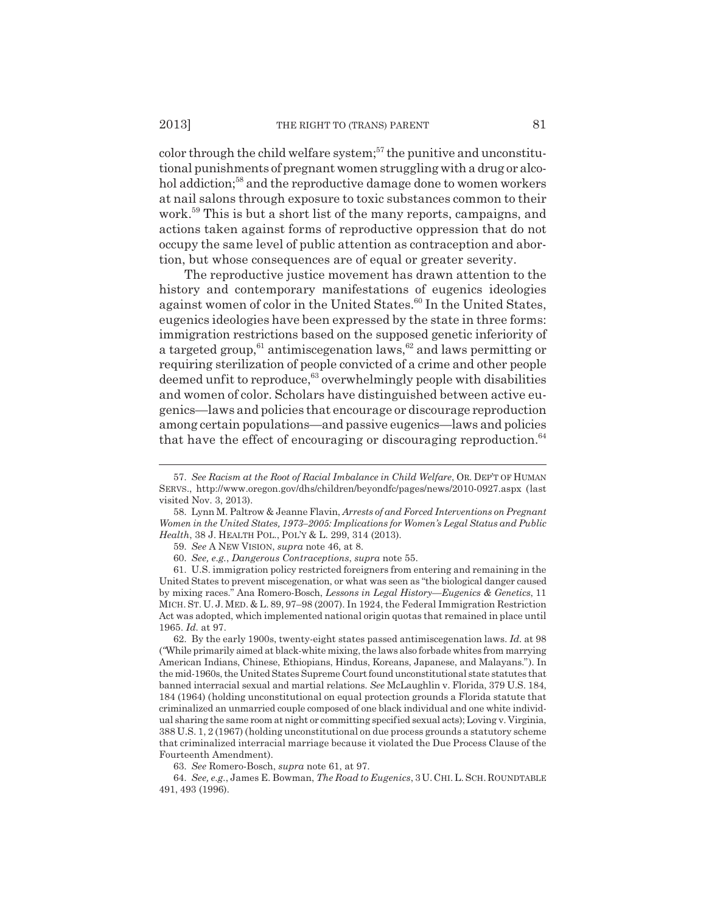color through the child welfare system;<sup>57</sup> the punitive and unconstitutional punishments of pregnant women struggling with a drug or alcohol addiction;<sup>58</sup> and the reproductive damage done to women workers at nail salons through exposure to toxic substances common to their work.<sup>59</sup> This is but a short list of the many reports, campaigns, and actions taken against forms of reproductive oppression that do not occupy the same level of public attention as contraception and abortion, but whose consequences are of equal or greater severity.

The reproductive justice movement has drawn attention to the history and contemporary manifestations of eugenics ideologies against women of color in the United States.<sup>60</sup> In the United States, eugenics ideologies have been expressed by the state in three forms: immigration restrictions based on the supposed genetic inferiority of a targeted group,<sup>61</sup> antimiscegenation laws,  $62$  and laws permitting or requiring sterilization of people convicted of a crime and other people deemed unfit to reproduce,<sup>63</sup> overwhelmingly people with disabilities and women of color. Scholars have distinguished between active eugenics—laws and policies that encourage or discourage reproduction among certain populations—and passive eugenics—laws and policies that have the effect of encouraging or discouraging reproduction.  $64$ 

<sup>57.</sup> *See Racism at the Root of Racial Imbalance in Child Welfare*, OR. DEP'T OF HUMAN SERVS., http://www.oregon.gov/dhs/children/beyondfc/pages/news/2010-0927.aspx (last visited Nov. 3, 2013).

<sup>58.</sup> Lynn M. Paltrow & Jeanne Flavin, *Arrests of and Forced Interventions on Pregnant Women in the United States, 1973–2005: Implications for Women's Legal Status and Public Health*, 38 J. HEALTH POL., POL'Y & L. 299, 314 (2013).

<sup>59.</sup> *See* A NEW VISION, *supra* note 46, at 8.

<sup>60.</sup> *See, e.g.*, *Dangerous Contraceptions*, *supra* note 55.

<sup>61.</sup> U.S. immigration policy restricted foreigners from entering and remaining in the United States to prevent miscegenation, or what was seen as "the biological danger caused by mixing races." Ana Romero-Bosch, *Lessons in Legal History—Eugenics & Genetics*, 11 MICH. ST. U. J. MED. & L. 89, 97–98 (2007). In 1924, the Federal Immigration Restriction Act was adopted, which implemented national origin quotas that remained in place until 1965. *Id.* at 97.

<sup>62.</sup> By the early 1900s, twenty-eight states passed antimiscegenation laws. *Id.* at 98 (*"*While primarily aimed at black-white mixing, the laws also forbade whites from marrying American Indians, Chinese, Ethiopians, Hindus, Koreans, Japanese, and Malayans."). In the mid-1960s, the United States Supreme Court found unconstitutional state statutes that banned interracial sexual and martial relations. *See* McLaughlin v. Florida, 379 U.S. 184, 184 (1964) (holding unconstitutional on equal protection grounds a Florida statute that criminalized an unmarried couple composed of one black individual and one white individual sharing the same room at night or committing specified sexual acts); Loving v. Virginia, 388 U.S. 1, 2 (1967) (holding unconstitutional on due process grounds a statutory scheme that criminalized interracial marriage because it violated the Due Process Clause of the Fourteenth Amendment).

<sup>63.</sup> *See* Romero-Bosch, *supra* note 61, at 97.

<sup>64.</sup> *See, e.g.*, James E. Bowman, *The Road to Eugenics*, 3 U.CHI.L.SCH. ROUNDTABLE 491, 493 (1996).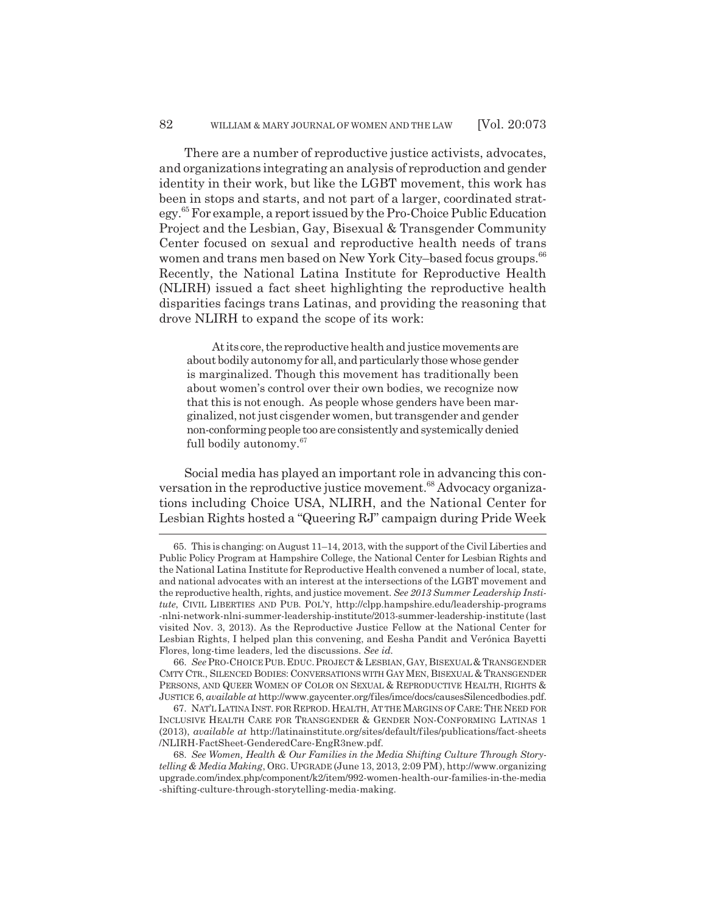There are a number of reproductive justice activists, advocates, and organizations integrating an analysis of reproduction and gender identity in their work, but like the LGBT movement, this work has been in stops and starts, and not part of a larger, coordinated strategy.65 For example, a report issued by the Pro-Choice Public Education Project and the Lesbian, Gay, Bisexual & Transgender Community Center focused on sexual and reproductive health needs of trans women and trans men based on New York City–based focus groups.<sup>66</sup> Recently, the National Latina Institute for Reproductive Health (NLIRH) issued a fact sheet highlighting the reproductive health disparities facings trans Latinas, and providing the reasoning that drove NLIRH to expand the scope of its work:

At its core, the reproductive health and justice movements are about bodily autonomy for all, and particularly those whose gender is marginalized. Though this movement has traditionally been about women's control over their own bodies, we recognize now that this is not enough. As people whose genders have been marginalized, not just cisgender women, but transgender and gender non-conforming people too are consistently and systemically denied full bodily autonomy.<sup>67</sup>

Social media has played an important role in advancing this conversation in the reproductive justice movement.<sup>68</sup> Advocacy organizations including Choice USA, NLIRH, and the National Center for Lesbian Rights hosted a "Queering RJ" campaign during Pride Week

66. *See* PRO-CHOICE PUB.EDUC.PROJECT & LESBIAN,GAY,BISEXUAL & TRANSGENDER CMTY CTR., SILENCED BODIES: CONVERSATIONS WITH GAY MEN, BISEXUAL & TRANSGENDER PERSONS, AND QUEER WOMEN OF COLOR ON SEXUAL & REPRODUCTIVE HEALTH, RIGHTS & JUSTICE 6, *available at* http://www.gaycenter.org/files/imce/docs/causesSilencedbodies.pdf.

67. NAT'L LATINA INST. FOR REPROD. HEALTH, AT THE MARGINS OF CARE:THE NEED FOR INCLUSIVE HEALTH CARE FOR TRANSGENDER & GENDER NON-CONFORMING LATINAS 1 (2013), *available at* http://latinainstitute.org/sites/default/files/publications/fact-sheets /NLIRH-FactSheet-GenderedCare-EngR3new.pdf.

<sup>65.</sup> This is changing: on August 11–14, 2013, with the support of the Civil Liberties and Public Policy Program at Hampshire College, the National Center for Lesbian Rights and the National Latina Institute for Reproductive Health convened a number of local, state, and national advocates with an interest at the intersections of the LGBT movement and the reproductive health, rights, and justice movement. *See 2013 Summer Leadership Institute*, CIVIL LIBERTIES AND PUB. POL'Y, http://clpp.hampshire.edu/leadership-programs -nlni-network-nlni-summer-leadership-institute/2013-summer-leadership-institute (last visited Nov. 3, 2013). As the Reproductive Justice Fellow at the National Center for Lesbian Rights, I helped plan this convening, and Eesha Pandit and Verónica Bayetti Flores, long-time leaders, led the discussions. *See id.*

<sup>68.</sup> *See Women, Health & Our Families in the Media Shifting Culture Through Storytelling & Media Making*, ORG. UPGRADE (June 13, 2013, 2:09 PM), http://www.organizing upgrade.com/index.php/component/k2/item/992-women-health-our-families-in-the-media -shifting-culture-through-storytelling-media-making.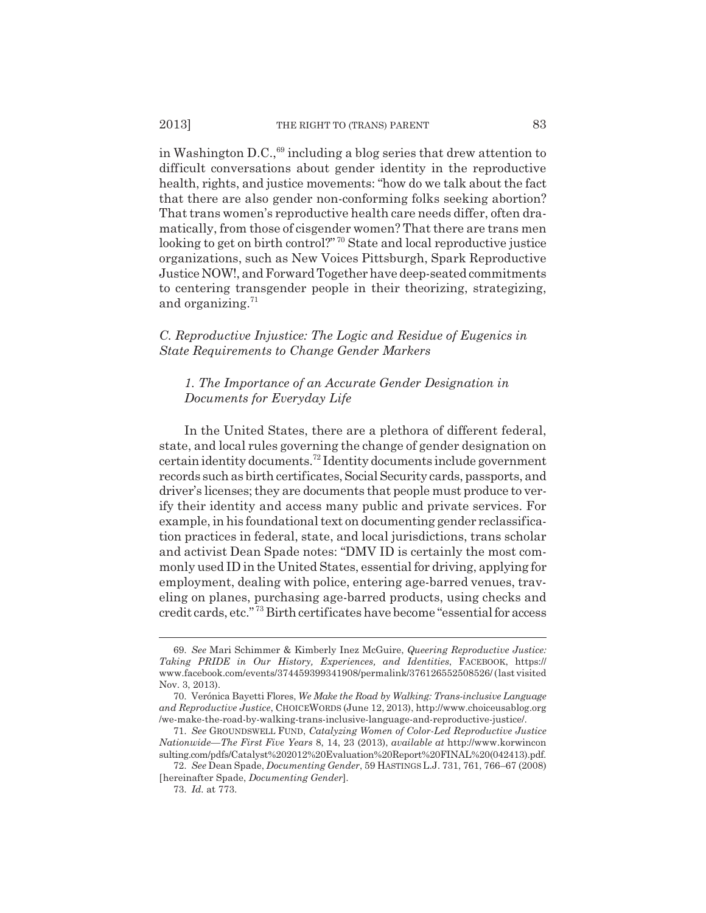#### 2013] THE RIGHT TO (TRANS) PARENT 83

in Washington D.C.,  $69$  including a blog series that drew attention to difficult conversations about gender identity in the reproductive health, rights, and justice movements: "how do we talk about the fact that there are also gender non-conforming folks seeking abortion? That trans women's reproductive health care needs differ, often dramatically, from those of cisgender women? That there are trans men looking to get on birth control?"<sup>70</sup> State and local reproductive justice organizations, such as New Voices Pittsburgh, Spark Reproductive Justice NOW!, and Forward Together have deep-seated commitments to centering transgender people in their theorizing, strategizing, and organizing.<sup>71</sup>

## *C. Reproductive Injustice: The Logic and Residue of Eugenics in State Requirements to Change Gender Markers*

## *1. The Importance of an Accurate Gender Designation in Documents for Everyday Life*

In the United States, there are a plethora of different federal, state, and local rules governing the change of gender designation on certain identity documents.72 Identity documents include government records such as birth certificates, Social Security cards, passports, and driver's licenses; they are documents that people must produce to verify their identity and access many public and private services. For example, in his foundational text on documenting gender reclassification practices in federal, state, and local jurisdictions, trans scholar and activist Dean Spade notes: "DMV ID is certainly the most commonly used ID in the United States, essential for driving, applying for employment, dealing with police, entering age-barred venues, traveling on planes, purchasing age-barred products, using checks and credit cards, etc." 73 Birth certificates have become "essential for access

<sup>69.</sup> *See* Mari Schimmer & Kimberly Inez McGuire, *Queering Reproductive Justice: Taking PRIDE in Our History, Experiences, and Identities*, FACEBOOK, https:// www.facebook.com/events/374459399341908/permalink/376126552508526/ (last visited Nov. 3, 2013).

<sup>70.</sup> Verónica Bayetti Flores, *We Make the Road by Walking: Trans-inclusive Language and Reproductive Justice*, CHOICEWORDS (June 12, 2013), http://www.choiceusablog.org /we-make-the-road-by-walking-trans-inclusive-language-and-reproductive-justice/.

<sup>71.</sup> *See* GROUNDSWELL FUND, *Catalyzing Women of Color-Led Reproductive Justice Nationwide—The First Five Years* 8, 14, 23 (2013), *available at* http://www.korwincon sulting.com/pdfs/Catalyst%202012%20Evaluation%20Report%20FINAL%20(042413).pdf.

<sup>72.</sup> *See* Dean Spade, *Documenting Gender*, 59 HASTINGS L.J. 731, 761, 766–67 (2008) [hereinafter Spade, *Documenting Gender*].

<sup>73.</sup> *Id.* at 773.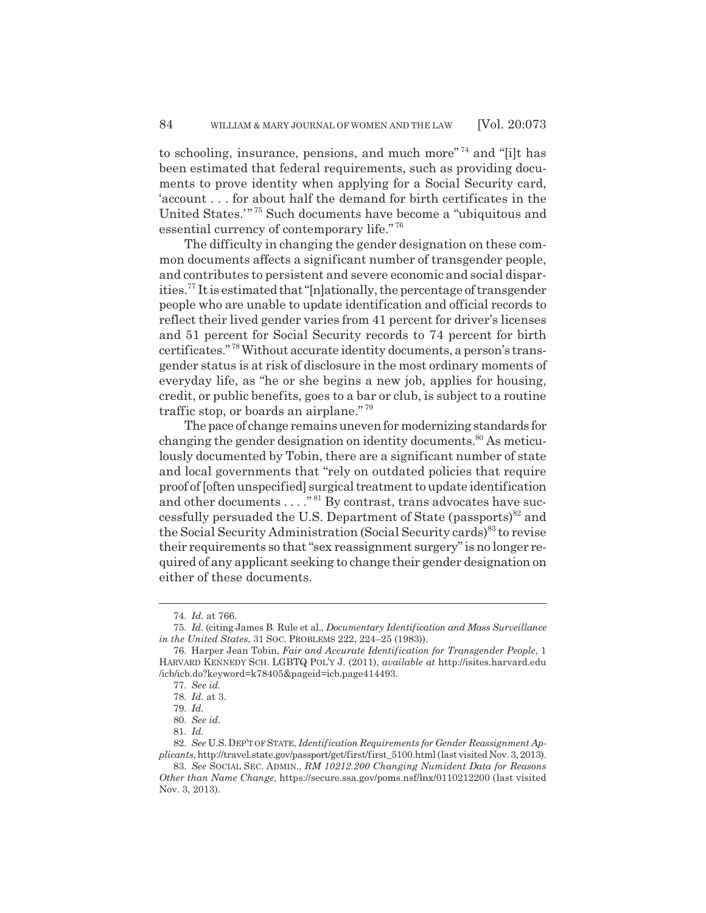to schooling, insurance, pensions, and much more"<sup> $74$ </sup> and "filt has been estimated that federal requirements, such as providing documents to prove identity when applying for a Social Security card, 'account . . . for about half the demand for birth certificates in the United States.'" 75 Such documents have become a "ubiquitous and essential currency of contemporary life." <sup>76</sup>

The difficulty in changing the gender designation on these common documents affects a significant number of transgender people, and contributes to persistent and severe economic and social disparities.77 It is estimated that "[n]ationally, the percentage of transgender people who are unable to update identification and official records to reflect their lived gender varies from 41 percent for driver's licenses and 51 percent for Social Security records to 74 percent for birth certificates." 78 Without accurate identity documents, a person's transgender status is at risk of disclosure in the most ordinary moments of everyday life, as "he or she begins a new job, applies for housing, credit, or public benefits, goes to a bar or club, is subject to a routine traffic stop, or boards an airplane." <sup>79</sup>

The pace of change remains uneven for modernizing standards for changing the gender designation on identity documents.<sup>80</sup> As meticulously documented by Tobin, there are a significant number of state and local governments that "rely on outdated policies that require proof of [often unspecified] surgical treatment to update identification and other documents  $\dots$ ."<sup>81</sup> By contrast, trans advocates have successfully persuaded the U.S. Department of State (passports)<sup>82</sup> and the Social Security Administration (Social Security cards)<sup>83</sup> to revise their requirements so that "sex reassignment surgery" is no longer required of any applicant seeking to change their gender designation on either of these documents.

<sup>74.</sup> *Id.* at 766.

<sup>75.</sup> *Id.* (citing James B. Rule et al., *Documentary Identification and Mass Surveillance in the United States*, 31 SOC. PROBLEMS 222, 224–25 (1983)).

<sup>76.</sup> Harper Jean Tobin, *Fair and Accurate Identification for Transgender People*, 1 HARVARD KENNEDY SCH. LGBTQ POL'Y J. (2011), *available at* http://isites.harvard.edu /icb/icb.do?keyword=k78405&pageid=icb.page414493.

<sup>77.</sup> *See id.*

<sup>78.</sup> *Id.* at 3.

<sup>79.</sup> *Id.*

<sup>80.</sup> *See id.*

<sup>81.</sup> *Id.*

<sup>82.</sup> *See* U.S.DEP'T OF STATE, *Identification Requirements for Gender Reassignment Applicants*, http://travel.state.gov/passport/get/first/first\_5100.html (last visited Nov. 3, 2013).

<sup>83.</sup> *See* SOCIAL SEC. ADMIN., *RM 10212.200 Changing Numident Data for Reasons Other than Name Change*, https://secure.ssa.gov/poms.nsf/lnx/0110212200 (last visited Nov. 3, 2013).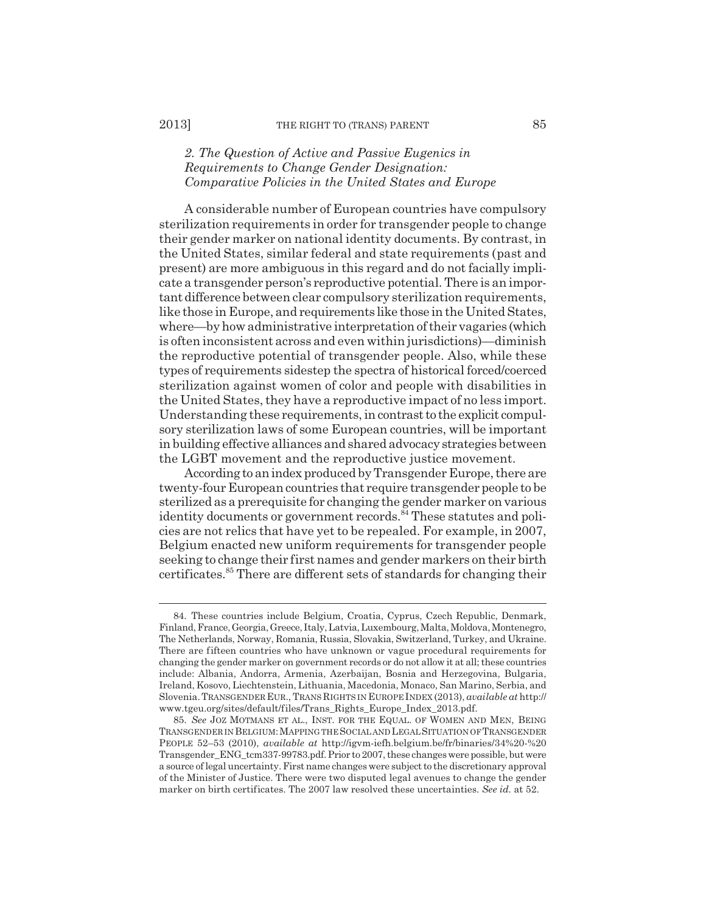## *2. The Question of Active and Passive Eugenics in Requirements to Change Gender Designation: Comparative Policies in the United States and Europe*

A considerable number of European countries have compulsory sterilization requirements in order for transgender people to change their gender marker on national identity documents. By contrast, in the United States, similar federal and state requirements (past and present) are more ambiguous in this regard and do not facially implicate a transgender person's reproductive potential. There is an important difference between clear compulsory sterilization requirements, like those in Europe, and requirements like those in the United States, where—by how administrative interpretation of their vagaries (which is often inconsistent across and even within jurisdictions)—diminish the reproductive potential of transgender people. Also, while these types of requirements sidestep the spectra of historical forced/coerced sterilization against women of color and people with disabilities in the United States, they have a reproductive impact of no less import. Understanding these requirements, in contrast to the explicit compulsory sterilization laws of some European countries, will be important in building effective alliances and shared advocacy strategies between the LGBT movement and the reproductive justice movement.

According to an index produced by Transgender Europe, there are twenty-four European countries that require transgender people to be sterilized as a prerequisite for changing the gender marker on various  $\ddot{\text{identity}}$  documents or government records.<sup>84</sup> These statutes and policies are not relics that have yet to be repealed. For example, in 2007, Belgium enacted new uniform requirements for transgender people seeking to change their first names and gender markers on their birth certificates.85 There are different sets of standards for changing their

<sup>84.</sup> These countries include Belgium, Croatia, Cyprus, Czech Republic, Denmark, Finland, France, Georgia, Greece, Italy, Latvia, Luxembourg, Malta, Moldova, Montenegro, The Netherlands, Norway, Romania, Russia, Slovakia, Switzerland, Turkey, and Ukraine. There are fifteen countries who have unknown or vague procedural requirements for changing the gender marker on government records or do not allow it at all; these countries include: Albania, Andorra, Armenia, Azerbaijan, Bosnia and Herzegovina, Bulgaria, Ireland, Kosovo, Liechtenstein, Lithuania, Macedonia, Monaco, San Marino, Serbia, and Slovenia.TRANSGENDER EUR., TRANS RIGHTS IN EUROPE INDEX (2013), *available at* http:// www.tgeu.org/sites/default/files/Trans\_Rights\_Europe\_Index\_2013.pdf.

<sup>85.</sup> *See* JOZ MOTMANS ET AL., INST. FOR THE EQUAL. OF WOMEN AND MEN, BEING TRANSGENDER IN BELGIUM:MAPPING THE SOCIAL AND LEGAL SITUATION OF TRANSGENDER PEOPLE 52–53 (2010), *available at* http://igvm-iefh.belgium.be/fr/binaries/34%20-%20 Transgender\_ENG\_tcm337-99783.pdf. Prior to 2007, these changes were possible, but were a source of legal uncertainty. First name changes were subject to the discretionary approval of the Minister of Justice. There were two disputed legal avenues to change the gender marker on birth certificates. The 2007 law resolved these uncertainties. *See id.* at 52.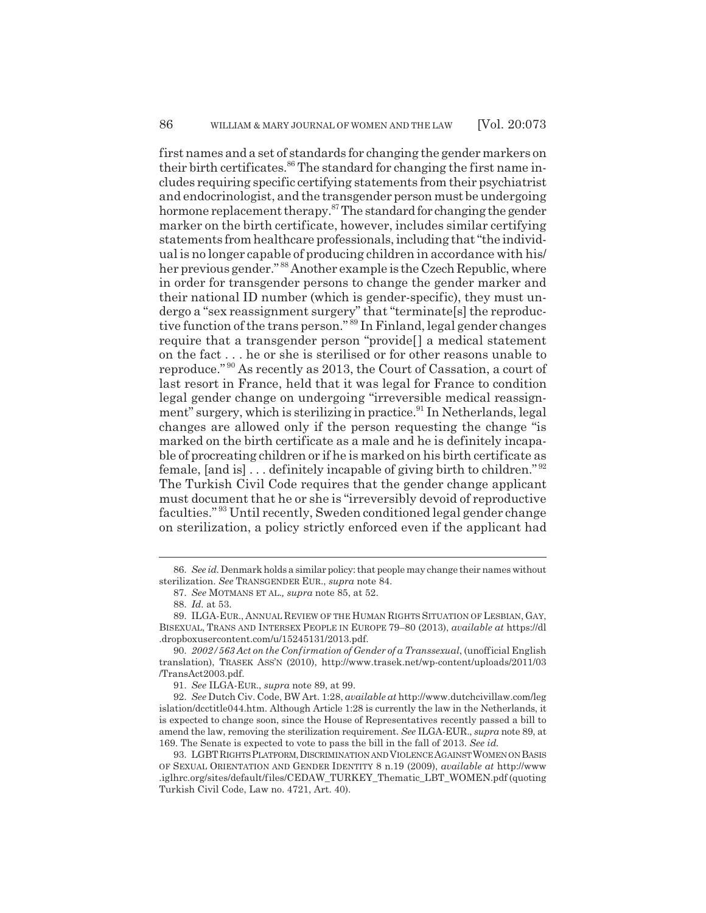first names and a set of standards for changing the gender markers on their birth certificates.<sup>86</sup> The standard for changing the first name includes requiring specific certifying statements from their psychiatrist and endocrinologist, and the transgender person must be undergoing hormone replacement therapy.<sup>87</sup> The standard for changing the gender marker on the birth certificate, however, includes similar certifying statements from healthcare professionals, including that "the individual is no longer capable of producing children in accordance with his/ her previous gender."<sup>88</sup> Another example is the Czech Republic, where in order for transgender persons to change the gender marker and their national ID number (which is gender-specific), they must undergo a "sex reassignment surgery" that "terminate[s] the reproductive function of the trans person."<sup>89</sup> In Finland, legal gender changes require that a transgender person "provide[] a medical statement on the fact . . . he or she is sterilised or for other reasons unable to reproduce." 90 As recently as 2013, the Court of Cassation, a court of last resort in France, held that it was legal for France to condition legal gender change on undergoing "irreversible medical reassignment" surgery, which is sterilizing in practice.<sup>91</sup> In Netherlands, legal changes are allowed only if the person requesting the change "is marked on the birth certificate as a male and he is definitely incapable of procreating children or if he is marked on his birth certificate as female,  $[$ and is $] \ldots$  definitely incapable of giving birth to children."  $92$ The Turkish Civil Code requires that the gender change applicant must document that he or she is "irreversibly devoid of reproductive faculties." 93 Until recently, Sweden conditioned legal gender change on sterilization, a policy strictly enforced even if the applicant had

<sup>86.</sup> *See id.* Denmark holds a similar policy: that people may change their names without sterilization. *See* TRANSGENDER EUR., *supra* note 84.

<sup>87.</sup> *See* MOTMANS ET AL.*, supra* note 85, at 52.

<sup>88.</sup> *Id.* at 53.

<sup>89.</sup> ILGA-EUR., ANNUAL REVIEW OF THE HUMAN RIGHTS SITUATION OF LESBIAN, GAY, BISEXUAL, TRANS AND INTERSEX PEOPLE IN EUROPE 79–80 (2013), *available at* https://dl .dropboxusercontent.com/u/15245131/2013.pdf.

<sup>90.</sup> *2002/563 Act on the Confirmation of Gender of a Transsexual*, (unofficial English translation), TRASEK ASS'N (2010), http://www.trasek.net/wp-content/uploads/2011/03 /TransAct2003.pdf.

<sup>91.</sup> *See* ILGA-EUR., *supra* note 89, at 99.

<sup>92.</sup> *See* Dutch Civ. Code, BW Art. 1:28, *available at* http://www.dutchcivillaw.com/leg islation/dcctitle044.htm. Although Article 1:28 is currently the law in the Netherlands, it is expected to change soon, since the House of Representatives recently passed a bill to amend the law, removing the sterilization requirement. *See* ILGA-EUR., *supra* note 89, at 169. The Senate is expected to vote to pass the bill in the fall of 2013. *See id.*

<sup>93.</sup> LGBTRIGHTS PLATFORM,DISCRIMINATION AND VIOLENCE AGAINST WOMEN ON BASIS OF SEXUAL ORIENTATION AND GENDER IDENTITY 8 n.19 (2009), *available at* http://www .iglhrc.org/sites/default/files/CEDAW\_TURKEY\_Thematic\_LBT\_WOMEN.pdf (quoting Turkish Civil Code, Law no. 4721, Art. 40).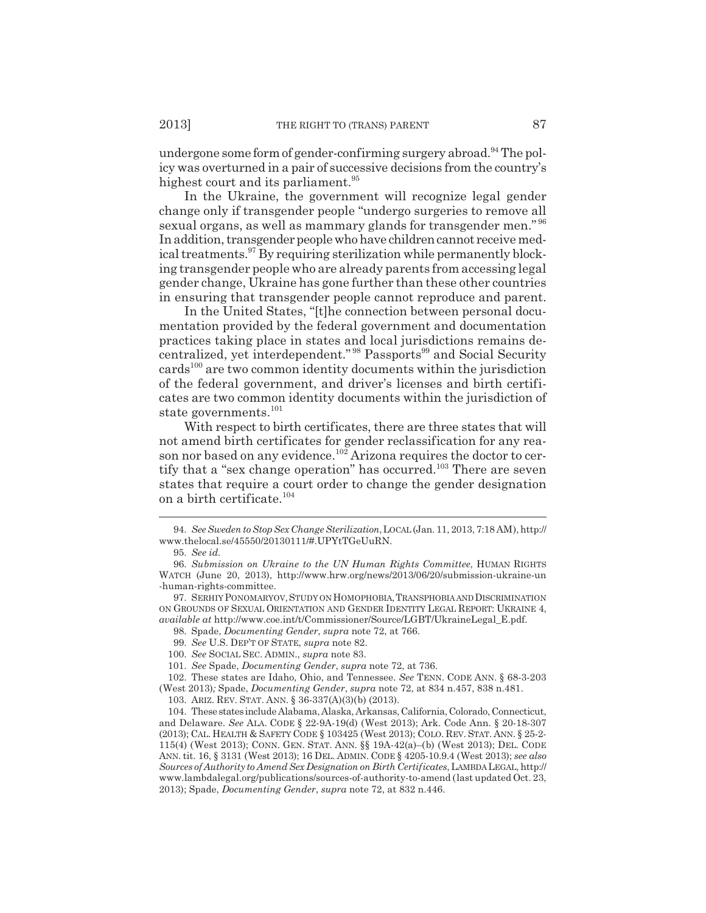undergone some form of gender-confirming surgery abroad.<sup>94</sup> The policy was overturned in a pair of successive decisions from the country's highest court and its parliament.<sup>95</sup>

In the Ukraine, the government will recognize legal gender change only if transgender people "undergo surgeries to remove all sexual organs, as well as mammary glands for transgender men."<sup>96</sup> In addition, transgender people who have children cannot receive medical treatments.<sup>97</sup> By requiring sterilization while permanently blocking transgender people who are already parents from accessing legal gender change, Ukraine has gone further than these other countries in ensuring that transgender people cannot reproduce and parent.

In the United States, "[t]he connection between personal documentation provided by the federal government and documentation practices taking place in states and local jurisdictions remains decentralized, yet interdependent."<sup>98</sup> Passports<sup>99</sup> and Social Security cards<sup>100</sup> are two common identity documents within the jurisdiction of the federal government, and driver's licenses and birth certificates are two common identity documents within the jurisdiction of state governments.<sup>101</sup>

With respect to birth certificates, there are three states that will not amend birth certificates for gender reclassification for any reason nor based on any evidence.<sup>102</sup> Arizona requires the doctor to certify that a "sex change operation" has occurred.<sup>103</sup> There are seven states that require a court order to change the gender designation on a birth certificate.<sup>104</sup>

98. Spade, *Documenting Gender*, *supra* note 72, at 766.

102. These states are Idaho, Ohio, and Tennessee. *See* TENN. CODE ANN. § 68-3-203 (West 2013)*;* Spade, *Documenting Gender*, *supra* note 72, at 834 n.457, 838 n.481.

<sup>94.</sup> *See Sweden to Stop Sex Change Sterilization*,LOCAL (Jan. 11, 2013, 7:18 AM), http:// www.thelocal.se/45550/20130111/#.UPYtTGeUuRN.

<sup>95.</sup> *See id.*

<sup>96.</sup> *Submission on Ukraine to the UN Human Rights Committee*, HUMAN RIGHTS WATCH (June 20, 2013), http://www.hrw.org/news/2013/06/20/submission-ukraine-un -human-rights-committee.

<sup>97.</sup> SERHIY PONOMARYOV,STUDY ON HOMOPHOBIA,TRANSPHOBIA AND DISCRIMINATION ON GROUNDS OF SEXUAL ORIENTATION AND GENDER IDENTITY LEGAL REPORT: UKRAINE 4, *available at* http://www.coe.int/t/Commissioner/Source/LGBT/UkraineLegal\_E.pdf.

<sup>99.</sup> *See* U.S. DEP'T OF STATE, *supra* note 82.

<sup>100.</sup> *See* SOCIAL SEC. ADMIN., *supra* note 83.

<sup>101.</sup> *See* Spade, *Documenting Gender*, *supra* note 72, at 736.

<sup>103.</sup> ARIZ. REV. STAT. ANN. § 36-337(A)(3)(b) (2013).

<sup>104.</sup> These states include Alabama, Alaska, Arkansas, California, Colorado, Connecticut, and Delaware. *See* ALA. CODE § 22-9A-19(d) (West 2013); Ark. Code Ann. § 20-18-307 (2013); CAL. HEALTH & SAFETY CODE § 103425 (West 2013); COLO. REV. STAT. ANN. § 25-2- 115(4) (West 2013); CONN. GEN. STAT. ANN. §§ 19A-42(a)–(b) (West 2013); DEL. CODE ANN.tit. 16, § 3131 (West 2013); 16 DEL. ADMIN. CODE § 4205-10.9.4 (West 2013); *see also Sources of Authority to Amend Sex Designation on Birth Certificates*, LAMBDA LEGAL, http:// www.lambdalegal.org/publications/sources-of-authority-to-amend (last updated Oct. 23, 2013); Spade, *Documenting Gender*, *supra* note 72, at 832 n.446.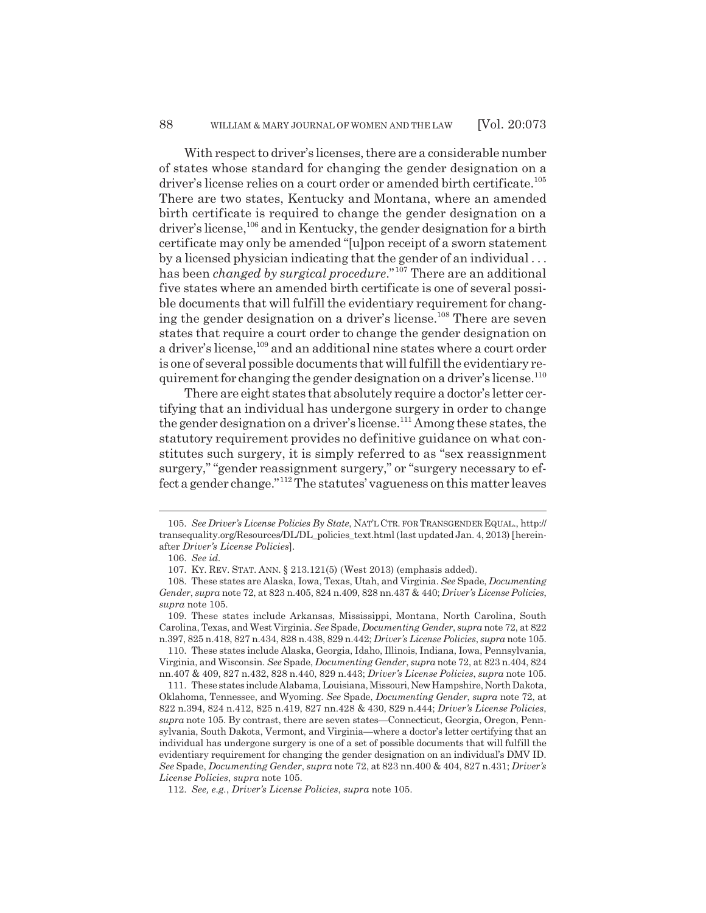With respect to driver's licenses, there are a considerable number of states whose standard for changing the gender designation on a driver's license relies on a court order or amended birth certificate.<sup>105</sup> There are two states, Kentucky and Montana, where an amended birth certificate is required to change the gender designation on a driver's license,<sup>106</sup> and in Kentucky, the gender designation for a birth certificate may only be amended "[u]pon receipt of a sworn statement by a licensed physician indicating that the gender of an individual . . . has been *changed by surgical procedure*."107 There are an additional five states where an amended birth certificate is one of several possible documents that will fulfill the evidentiary requirement for changing the gender designation on a driver's license.<sup>108</sup> There are seven states that require a court order to change the gender designation on a driver's license,<sup>109</sup> and an additional nine states where a court order is one of several possible documents that will fulfill the evidentiary requirement for changing the gender designation on a driver's license.<sup>110</sup>

There are eight states that absolutely require a doctor's letter certifying that an individual has undergone surgery in order to change the gender designation on a driver's license.<sup>111</sup> Among these states, the statutory requirement provides no definitive guidance on what constitutes such surgery, it is simply referred to as "sex reassignment surgery," "gender reassignment surgery," or "surgery necessary to effect a gender change."112 The statutes' vagueness on this matter leaves

<sup>105.</sup> *See Driver's License Policies By State*, NAT'L CTR. FOR TRANSGENDER EQUAL., http:// transequality.org/Resources/DL/DL\_policies\_text.html (last updated Jan. 4, 2013) [hereinafter *Driver's License Policies*].

<sup>106.</sup> *See id.*

<sup>107.</sup> KY. REV. STAT. ANN. § 213.121(5) (West 2013) (emphasis added).

<sup>108.</sup> These states are Alaska, Iowa, Texas, Utah, and Virginia. *See* Spade, *Documenting Gender*, *supra* note 72, at 823 n.405, 824 n.409, 828 nn.437 & 440; *Driver's License Policies*, *supra* note 105.

<sup>109.</sup> These states include Arkansas, Mississippi, Montana, North Carolina, South Carolina, Texas, and West Virginia. *See* Spade, *Documenting Gender*, *supra* note 72, at 822 n.397, 825 n.418, 827 n.434, 828 n.438, 829 n.442; *Driver's License Policies*, *supra* note 105.

<sup>110.</sup> These states include Alaska, Georgia, Idaho, Illinois, Indiana, Iowa, Pennsylvania, Virginia, and Wisconsin. *See* Spade, *Documenting Gender*, *supra* note 72, at 823 n.404, 824 nn.407 & 409, 827 n.432, 828 n.440, 829 n.443; *Driver's License Policies*, *supra* note 105.

<sup>111.</sup> These states include Alabama, Louisiana, Missouri, New Hampshire, North Dakota, Oklahoma, Tennessee, and Wyoming. *See* Spade, *Documenting Gender*, *supra* note 72, at 822 n.394, 824 n.412, 825 n.419, 827 nn.428 & 430, 829 n.444; *Driver's License Policies*, *supra* note 105. By contrast, there are seven states—Connecticut, Georgia, Oregon, Pennsylvania, South Dakota, Vermont, and Virginia—where a doctor's letter certifying that an individual has undergone surgery is one of a set of possible documents that will fulfill the evidentiary requirement for changing the gender designation on an individual's DMV ID. *See* Spade, *Documenting Gender*, *supra* note 72, at 823 nn.400 & 404, 827 n.431; *Driver's License Policies*, *supra* note 105.

<sup>112.</sup> *See, e.g.*, *Driver's License Policies*, *supra* note 105.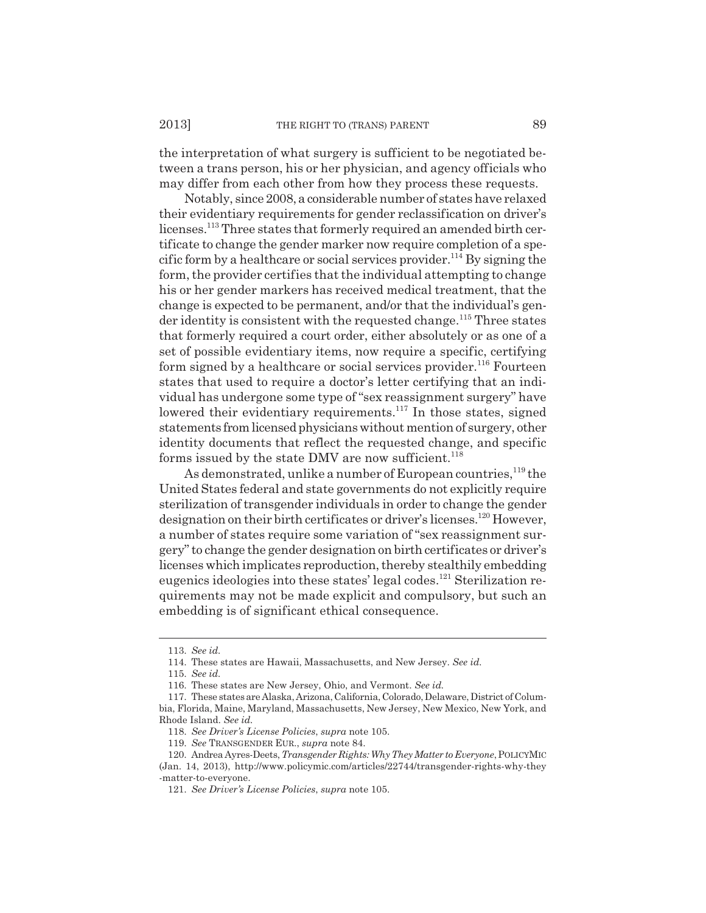the interpretation of what surgery is sufficient to be negotiated between a trans person, his or her physician, and agency officials who may differ from each other from how they process these requests.

Notably, since 2008, a considerable number of states have relaxed their evidentiary requirements for gender reclassification on driver's licenses.<sup>113</sup> Three states that formerly required an amended birth certificate to change the gender marker now require completion of a specific form by a healthcare or social services provider.<sup>114</sup> By signing the form, the provider certifies that the individual attempting to change his or her gender markers has received medical treatment, that the change is expected to be permanent, and/or that the individual's gen- $\alpha$  der identity is consistent with the requested change.<sup>115</sup> Three states that formerly required a court order, either absolutely or as one of a set of possible evidentiary items, now require a specific, certifying form signed by a healthcare or social services provider.<sup>116</sup> Fourteen states that used to require a doctor's letter certifying that an individual has undergone some type of "sex reassignment surgery" have lowered their evidentiary requirements.<sup>117</sup> In those states, signed statements from licensed physicians without mention of surgery, other identity documents that reflect the requested change, and specific forms issued by the state DMV are now sufficient. $118$ 

As demonstrated, unlike a number of European countries,<sup>119</sup> the United States federal and state governments do not explicitly require sterilization of transgender individuals in order to change the gender designation on their birth certificates or driver's licenses.120 However, a number of states require some variation of "sex reassignment surgery" to change the gender designation on birth certificates or driver's licenses which implicates reproduction, thereby stealthily embedding eugenics ideologies into these states' legal codes.121 Sterilization requirements may not be made explicit and compulsory, but such an embedding is of significant ethical consequence.

<sup>113.</sup> *See id.*

<sup>114.</sup> These states are Hawaii, Massachusetts, and New Jersey. *See id.*

<sup>115.</sup> *See id.*

<sup>116.</sup> These states are New Jersey, Ohio, and Vermont. *See id.*

<sup>117.</sup> These states are Alaska, Arizona, California, Colorado, Delaware, District of Columbia, Florida, Maine, Maryland, Massachusetts, New Jersey, New Mexico, New York, and Rhode Island. *See id.*

<sup>118.</sup> *See Driver's License Policies*, *supra* note 105.

<sup>119.</sup> *See* TRANSGENDER EUR., *supra* note 84.

<sup>120.</sup> Andrea Ayres-Deets, *Transgender Rights: Why They Matter to Everyone*, POLICYMIC (Jan. 14, 2013), http://www.policymic.com/articles/22744/transgender-rights-why-they -matter-to-everyone.

<sup>121.</sup> *See Driver's License Policies*, *supra* note 105.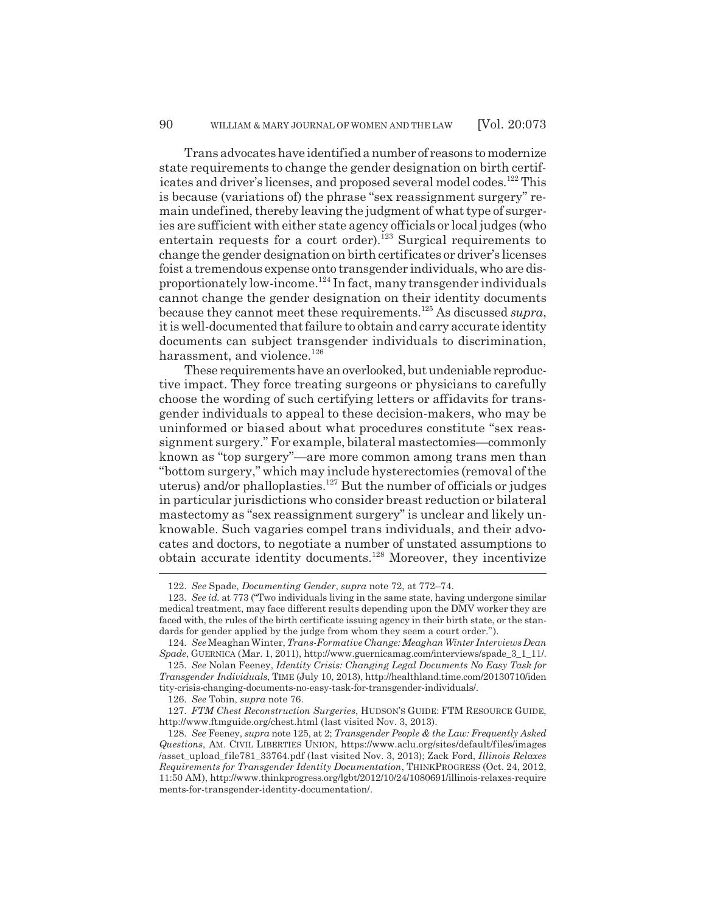Trans advocates have identified a number of reasons to modernize state requirements to change the gender designation on birth certificates and driver's licenses, and proposed several model codes.<sup>122</sup> This is because (variations of) the phrase "sex reassignment surgery" remain undefined, thereby leaving the judgment of what type of surgeries are sufficient with either state agency officials or local judges (who entertain requests for a court order).<sup>123</sup> Surgical requirements to change the gender designation on birth certificates or driver's licenses foist a tremendous expense onto transgender individuals, who are disproportionately low-income.124 In fact, many transgender individuals cannot change the gender designation on their identity documents because they cannot meet these requirements.125 As discussed *supra*, it is well-documented that failure to obtain and carry accurate identity documents can subject transgender individuals to discrimination, harassment, and violence.<sup>126</sup>

These requirements have an overlooked, but undeniable reproductive impact. They force treating surgeons or physicians to carefully choose the wording of such certifying letters or affidavits for transgender individuals to appeal to these decision-makers, who may be uninformed or biased about what procedures constitute "sex reassignment surgery." For example, bilateral mastectomies—commonly known as "top surgery"—are more common among trans men than "bottom surgery," which may include hysterectomies (removal of the uterus) and/or phalloplasties. $127$  But the number of officials or judges in particular jurisdictions who consider breast reduction or bilateral mastectomy as "sex reassignment surgery" is unclear and likely unknowable. Such vagaries compel trans individuals, and their advocates and doctors, to negotiate a number of unstated assumptions to obtain accurate identity documents.128 Moreover, they incentivize

<sup>122.</sup> *See* Spade, *Documenting Gender*, *supra* note 72, at 772–74.

<sup>123.</sup> *See id.* at 773 ("Two individuals living in the same state, having undergone similar medical treatment, may face different results depending upon the DMV worker they are faced with, the rules of the birth certificate issuing agency in their birth state, or the standards for gender applied by the judge from whom they seem a court order.").

<sup>124.</sup> *See* Meaghan Winter, *Trans-Formative Change: Meaghan Winter Interviews Dean Spade*, GUERNICA (Mar. 1, 2011), http://www.guernicamag.com/interviews/spade\_3\_1\_11/.

<sup>125.</sup> *See* Nolan Feeney, *Identity Crisis: Changing Legal Documents No Easy Task for Transgender Individuals*, TIME (July 10, 2013), http://healthland.time.com/20130710/iden tity-crisis-changing-documents-no-easy-task-for-transgender-individuals/.

<sup>126.</sup> *See* Tobin, *supra* note 76.

<sup>127.</sup> *FTM Chest Reconstruction Surgeries*, HUDSON'S GUIDE: FTM RESOURCE GUIDE, http://www.ftmguide.org/chest.html (last visited Nov. 3, 2013).

<sup>128.</sup> *See* Feeney, *supra* note 125, at 2; *Transgender People & the Law: Frequently Asked Questions*, AM. CIVIL LIBERTIES UNION, https://www.aclu.org/sites/default/files/images /asset\_upload\_file781\_33764.pdf (last visited Nov. 3, 2013); Zack Ford, *Illinois Relaxes Requirements for Transgender Identity Documentation*, THINKPROGRESS (Oct. 24, 2012, 11:50 AM), http://www.thinkprogress.org/lgbt/2012/10/24/1080691/illinois-relaxes-require ments-for-transgender-identity-documentation/.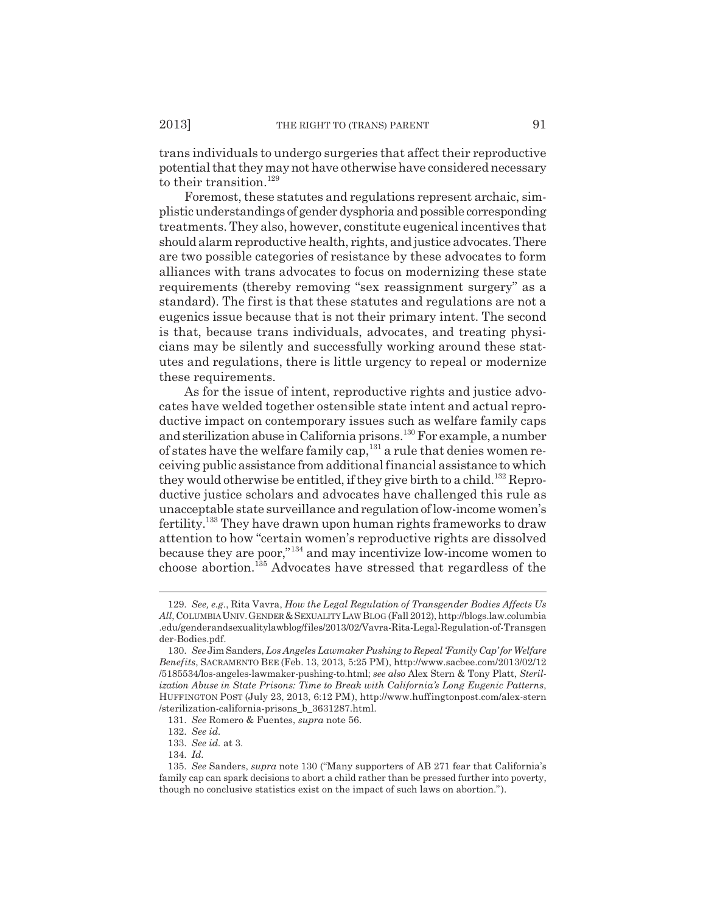trans individuals to undergo surgeries that affect their reproductive potential that they may not have otherwise have considered necessary to their transition.<sup>129</sup>

Foremost, these statutes and regulations represent archaic, simplistic understandings of gender dysphoria and possible corresponding treatments. They also, however, constitute eugenical incentives that should alarm reproductive health, rights, and justice advocates. There are two possible categories of resistance by these advocates to form alliances with trans advocates to focus on modernizing these state requirements (thereby removing "sex reassignment surgery" as a standard). The first is that these statutes and regulations are not a eugenics issue because that is not their primary intent. The second is that, because trans individuals, advocates, and treating physicians may be silently and successfully working around these statutes and regulations, there is little urgency to repeal or modernize these requirements.

As for the issue of intent, reproductive rights and justice advocates have welded together ostensible state intent and actual reproductive impact on contemporary issues such as welfare family caps and sterilization abuse in California prisons.130 For example, a number of states have the welfare family cap,  $131$  a rule that denies women receiving public assistance from additional financial assistance to which they would otherwise be entitled, if they give birth to a child.<sup>132</sup> Reproductive justice scholars and advocates have challenged this rule as unacceptable state surveillance and regulation of low-income women's fertility.133 They have drawn upon human rights frameworks to draw attention to how "certain women's reproductive rights are dissolved because they are poor,"134 and may incentivize low-income women to choose abortion.135 Advocates have stressed that regardless of the

<sup>129.</sup> *See, e.g.*, Rita Vavra, *How the Legal Regulation of Transgender Bodies Affects Us All*, COLUMBIA UNIV.GENDER &SEXUALITY LAW BLOG (Fall 2012), http://blogs.law.columbia .edu/genderandsexualitylawblog/files/2013/02/Vavra-Rita-Legal-Regulation-of-Transgen der-Bodies.pdf.

<sup>130.</sup> *See* Jim Sanders, *Los Angeles Lawmaker Pushing to Repeal 'Family Cap' for Welfare Benefits*, SACRAMENTO BEE (Feb. 13, 2013, 5:25 PM), http://www.sacbee.com/2013/02/12 /5185534/los-angeles-lawmaker-pushing-to.html; *see also* Alex Stern & Tony Platt, *Sterilization Abuse in State Prisons: Time to Break with California's Long Eugenic Patterns*, HUFFINGTON POST (July 23, 2013, 6:12 PM), http://www.huffingtonpost.com/alex-stern /sterilization-california-prisons\_b\_3631287.html.

<sup>131.</sup> *See* Romero & Fuentes, *supra* note 56.

<sup>132.</sup> *See id.*

<sup>133.</sup> *See id.* at 3.

<sup>134.</sup> *Id.*

<sup>135.</sup> *See* Sanders, *supra* note 130 ("Many supporters of AB 271 fear that California's family cap can spark decisions to abort a child rather than be pressed further into poverty, though no conclusive statistics exist on the impact of such laws on abortion.").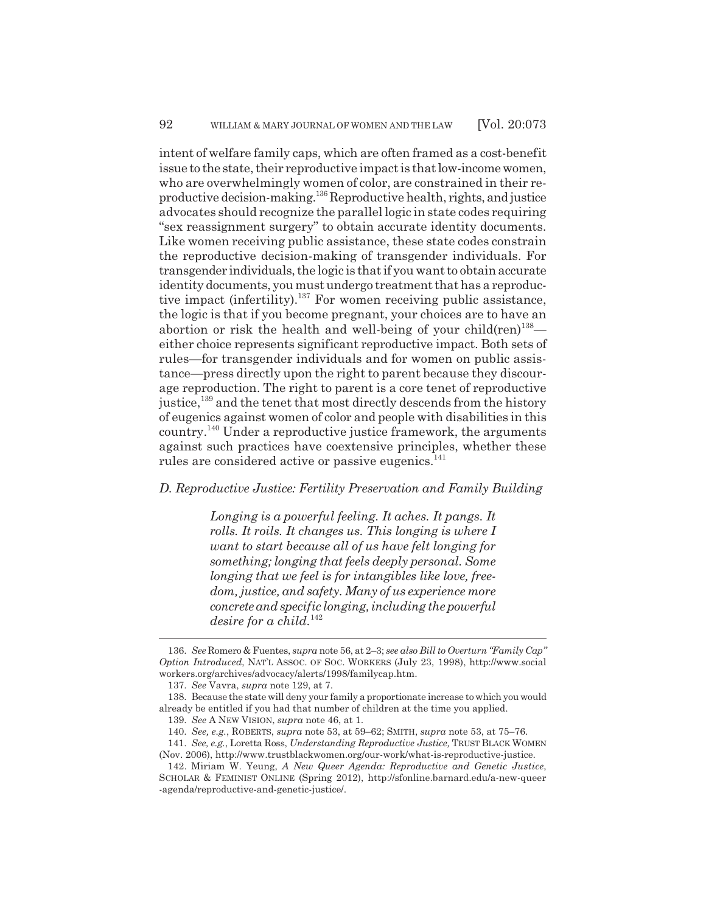intent of welfare family caps, which are often framed as a cost-benefit issue to the state, their reproductive impact is that low-income women, who are overwhelmingly women of color, are constrained in their reproductive decision-making.136 Reproductive health, rights, and justice advocates should recognize the parallel logic in state codes requiring "sex reassignment surgery" to obtain accurate identity documents. Like women receiving public assistance, these state codes constrain the reproductive decision-making of transgender individuals. For transgender individuals, the logic is that if you want to obtain accurate identity documents, you must undergo treatment that has a reproductive impact (infertility).<sup>137</sup> For women receiving public assistance, the logic is that if you become pregnant, your choices are to have an abortion or risk the health and well-being of your child(ren)<sup>138</sup> either choice represents significant reproductive impact. Both sets of rules—for transgender individuals and for women on public assistance—press directly upon the right to parent because they discourage reproduction. The right to parent is a core tenet of reproductive justice,<sup>139</sup> and the tenet that most directly descends from the history of eugenics against women of color and people with disabilities in this country.140 Under a reproductive justice framework, the arguments against such practices have coextensive principles, whether these rules are considered active or passive eugenics.<sup>141</sup>

## *D. Reproductive Justice: Fertility Preservation and Family Building*

*Longing is a powerful feeling. It aches. It pangs. It rolls. It roils. It changes us. This longing is where I want to start because all of us have felt longing for something; longing that feels deeply personal. Some longing that we feel is for intangibles like love, freedom, justice, and safety. Many of us experience more concrete and specific longing, including the powerful desire for a child.*<sup>142</sup>

<sup>136.</sup> *See* Romero & Fuentes, *supra* note 56, at 2–3; *see also Bill to Overturn "Family Cap" Option Introduced*, NAT'L ASSOC. OF SOC. WORKERS (July 23, 1998), http://www.social workers.org/archives/advocacy/alerts/1998/familycap.htm.

<sup>137.</sup> *See* Vavra, *supra* note 129, at 7.

<sup>138.</sup> Because the state will deny your family a proportionate increase to which you would already be entitled if you had that number of children at the time you applied.

<sup>139.</sup> *See* A NEW VISION, *supra* note 46, at 1.

<sup>140.</sup> *See, e.g.*, ROBERTS, *supra* note 53, at 59–62; SMITH, *supra* note 53, at 75–76.

<sup>141.</sup> *See, e.g.*, Loretta Ross, *Understanding Reproductive Justice,* TRUST BLACK WOMEN (Nov. 2006), http://www.trustblackwomen.org/our-work/what-is-reproductive-justice.

<sup>142.</sup> Miriam W. Yeung, *A New Queer Agenda: Reproductive and Genetic Justice*, SCHOLAR & FEMINIST ONLINE (Spring 2012), http://sfonline.barnard.edu/a-new-queer -agenda/reproductive-and-genetic-justice/.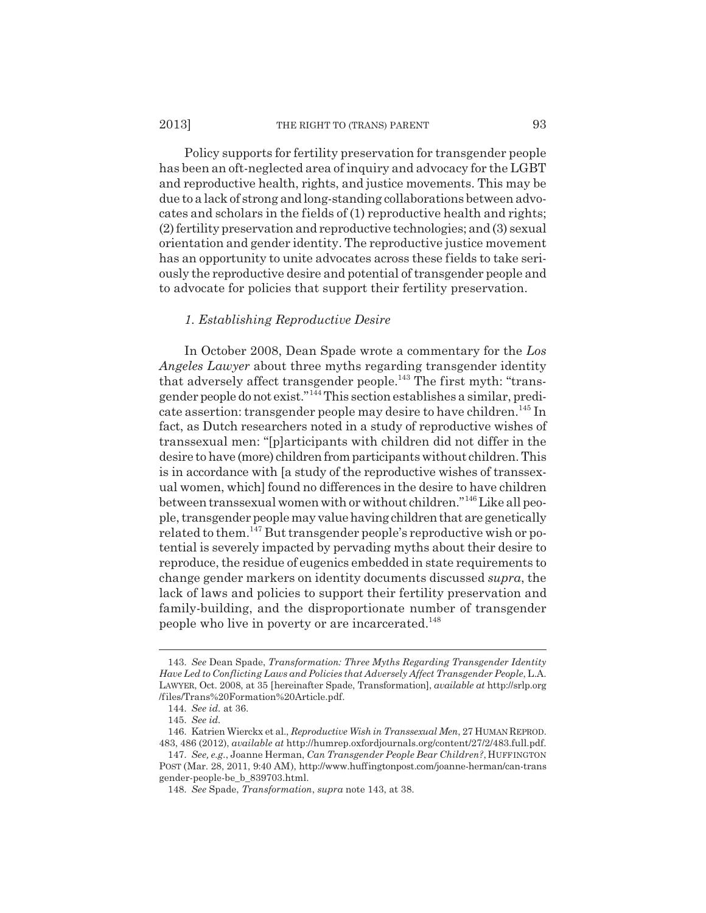Policy supports for fertility preservation for transgender people has been an oft-neglected area of inquiry and advocacy for the LGBT and reproductive health, rights, and justice movements. This may be due to a lack of strong and long-standing collaborations between advocates and scholars in the fields of (1) reproductive health and rights; (2) fertility preservation and reproductive technologies; and (3) sexual orientation and gender identity. The reproductive justice movement has an opportunity to unite advocates across these fields to take seriously the reproductive desire and potential of transgender people and to advocate for policies that support their fertility preservation.

## *1. Establishing Reproductive Desire*

In October 2008, Dean Spade wrote a commentary for the *Los Angeles Lawyer* about three myths regarding transgender identity that adversely affect transgender people.<sup>143</sup> The first myth: "transgender people do not exist."144 This section establishes a similar, predicate assertion: transgender people may desire to have children.<sup>145</sup> In fact, as Dutch researchers noted in a study of reproductive wishes of transsexual men: "[p]articipants with children did not differ in the desire to have (more) children from participants without children. This is in accordance with [a study of the reproductive wishes of transsexual women, which] found no differences in the desire to have children between transsexual women with or without children."146 Like all people, transgender people may value having children that are genetically related to them.<sup>147</sup> But transgender people's reproductive wish or potential is severely impacted by pervading myths about their desire to reproduce, the residue of eugenics embedded in state requirements to change gender markers on identity documents discussed *supra*, the lack of laws and policies to support their fertility preservation and family-building, and the disproportionate number of transgender people who live in poverty or are incarcerated.148

<sup>143.</sup> *See* Dean Spade, *Transformation: Three Myths Regarding Transgender Identity Have Led to Conflicting Laws and Policies that Adversely Affect Transgender People*, L.A. LAWYER, Oct. 2008, at 35 [hereinafter Spade, Transformation], *available at* http://srlp.org /files/Trans%20Formation%20Article.pdf.

<sup>144.</sup> *See id.* at 36.

<sup>145.</sup> *See id.*

<sup>146.</sup> Katrien Wierckx et al., *Reproductive Wish in Transsexual Men*, 27 HUMAN REPROD. 483, 486 (2012), *available at* http://humrep.oxfordjournals.org/content/27/2/483.full.pdf.

<sup>147.</sup> *See, e.g.*, Joanne Herman, *Can Transgender People Bear Children?*, HUFFINGTON POST (Mar. 28, 2011, 9:40 AM), http://www.huffingtonpost.com/joanne-herman/can-trans gender-people-be\_b\_839703.html.

<sup>148.</sup> *See* Spade, *Transformation*, *supra* note 143, at 38.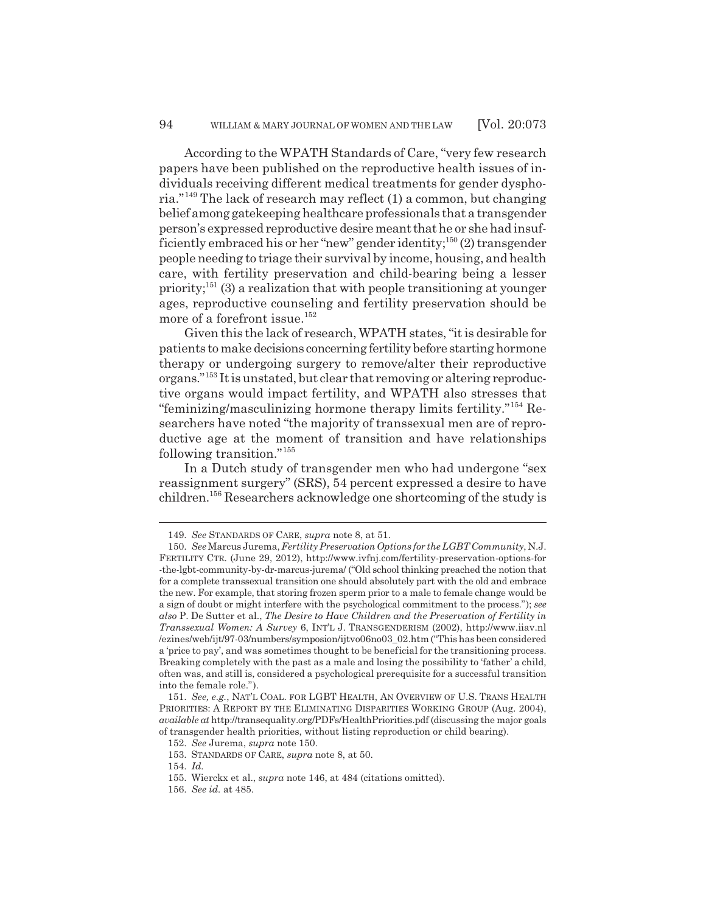According to the WPATH Standards of Care, "very few research papers have been published on the reproductive health issues of individuals receiving different medical treatments for gender dysphoria."149 The lack of research may reflect (1) a common, but changing belief among gatekeeping healthcare professionals that a transgender person's expressed reproductive desire meant that he or she had insufficiently embraced his or her "new" gender identity;<sup>150</sup> $(2)$  transgender people needing to triage their survival by income, housing, and health care, with fertility preservation and child-bearing being a lesser priority;<sup>151</sup> $(3)$  a realization that with people transitioning at younger ages, reproductive counseling and fertility preservation should be more of a forefront issue.<sup>152</sup>

Given this the lack of research, WPATH states, "it is desirable for patients to make decisions concerning fertility before starting hormone therapy or undergoing surgery to remove/alter their reproductive organs."153 It is unstated, but clear that removing or altering reproductive organs would impact fertility, and WPATH also stresses that "feminizing/masculinizing hormone therapy limits fertility."154 Researchers have noted "the majority of transsexual men are of reproductive age at the moment of transition and have relationships following transition."<sup>155</sup>

In a Dutch study of transgender men who had undergone "sex reassignment surgery" (SRS), 54 percent expressed a desire to have children.156 Researchers acknowledge one shortcoming of the study is

<sup>149.</sup> *See* STANDARDS OF CARE, *supra* note 8, at 51.

<sup>150.</sup> *See* Marcus Jurema, *Fertility Preservation Options for the LGBT Community*, N.J. FERTILITY CTR. (June 29, 2012), http://www.ivfnj.com/fertility-preservation-options-for -the-lgbt-community-by-dr-marcus-jurema/ ("Old school thinking preached the notion that for a complete transsexual transition one should absolutely part with the old and embrace the new. For example, that storing frozen sperm prior to a male to female change would be a sign of doubt or might interfere with the psychological commitment to the process."); *see also* P. De Sutter et al., *The Desire to Have Children and the Preservation of Fertility in Transsexual Women: A Survey* 6, INT'L J. TRANSGENDERISM (2002), http://www.iiav.nl /ezines/web/ijt/97-03/numbers/symposion/ijtvo06no03\_02.htm ("This has been considered a 'price to pay', and was sometimes thought to be beneficial for the transitioning process. Breaking completely with the past as a male and losing the possibility to 'father' a child, often was, and still is, considered a psychological prerequisite for a successful transition into the female role.").

<sup>151.</sup> *See, e.g.*, NAT'L COAL. FOR LGBT HEALTH, AN OVERVIEW OF U.S. TRANS HEALTH PRIORITIES: A REPORT BY THE ELIMINATING DISPARITIES WORKING GROUP (Aug. 2004), *available at* http://transequality.org/PDFs/HealthPriorities.pdf (discussing the major goals of transgender health priorities, without listing reproduction or child bearing).

<sup>152.</sup> *See* Jurema, *supra* note 150.

<sup>153.</sup> STANDARDS OF CARE, *supra* note 8, at 50.

<sup>154.</sup> *Id.*

<sup>155.</sup> Wierckx et al., *supra* note 146, at 484 (citations omitted).

<sup>156.</sup> *See id.* at 485.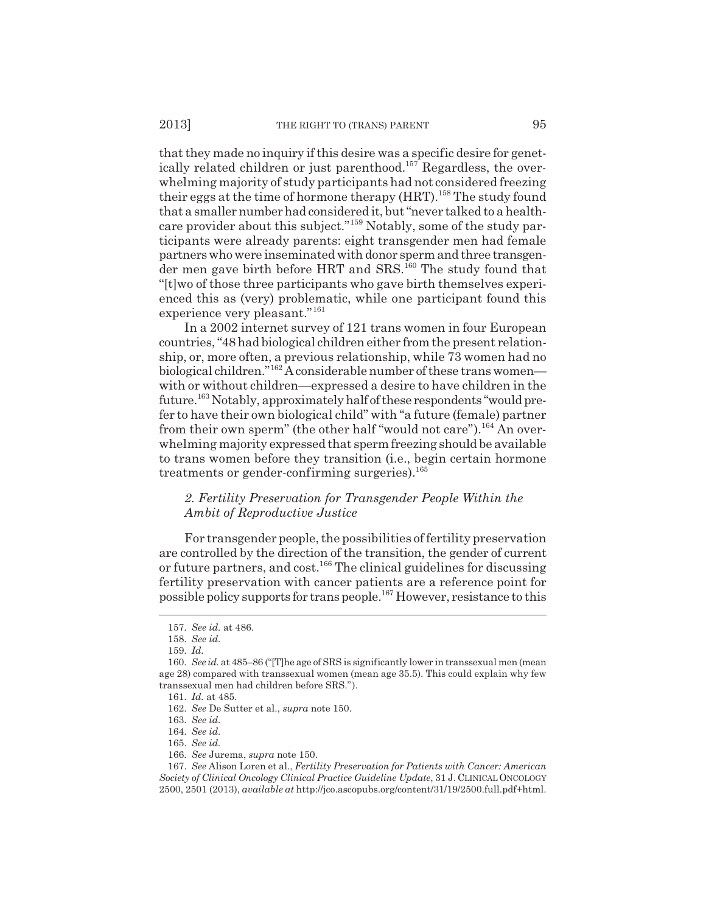that they made no inquiry if this desire was a specific desire for genetically related children or just parenthood.<sup>157</sup> Regardless, the overwhelming majority of study participants had not considered freezing their eggs at the time of hormone therapy (HRT).<sup>158</sup> The study found that a smaller number had considered it, but "never talked to a healthcare provider about this subject."<sup>159</sup> Notably, some of the study participants were already parents: eight transgender men had female partners who were inseminated with donor sperm and three transgender men gave birth before HRT and SRS.<sup>160</sup> The study found that "[t]wo of those three participants who gave birth themselves experienced this as (very) problematic, while one participant found this experience very pleasant."<sup>161</sup>

In a 2002 internet survey of 121 trans women in four European countries, "48 had biological children either from the present relationship, or, more often, a previous relationship, while 73 women had no biological children."162 A considerable number of these trans women with or without children—expressed a desire to have children in the future.<sup>163</sup> Notably, approximately half of these respondents "would prefer to have their own biological child" with "a future (female) partner from their own sperm" (the other half "would not care").<sup>164</sup> An overwhelming majority expressed that sperm freezing should be available to trans women before they transition (i.e., begin certain hormone treatments or gender-confirming surgeries).<sup>165</sup>

## *2. Fertility Preservation for Transgender People Within the Ambit of Reproductive Justice*

For transgender people, the possibilities of fertility preservation are controlled by the direction of the transition, the gender of current or future partners, and cost.<sup>166</sup> The clinical guidelines for discussing fertility preservation with cancer patients are a reference point for possible policy supports for trans people.167 However, resistance to this

<sup>157.</sup> *See id.* at 486.

<sup>158.</sup> *See id.*

<sup>159.</sup> *Id.*

<sup>160.</sup> *See id.* at 485–86 ("[T]he age of SRS is significantly lower in transsexual men (mean age 28) compared with transsexual women (mean age 35.5). This could explain why few transsexual men had children before SRS.").

<sup>161.</sup> *Id.* at 485.

<sup>162.</sup> *See* De Sutter et al., *supra* note 150.

<sup>163.</sup> *See id.*

<sup>164.</sup> *See id.*

<sup>165.</sup> *See id.*

<sup>166.</sup> *See* Jurema, *supra* note 150.

<sup>167.</sup> *See* Alison Loren et al., *Fertility Preservation for Patients with Cancer: American Society of Clinical Oncology Clinical Practice Guideline Update*, 31 J. CLINICAL ONCOLOGY 2500, 2501 (2013), *available at* http://jco.ascopubs.org/content/31/19/2500.full.pdf+html.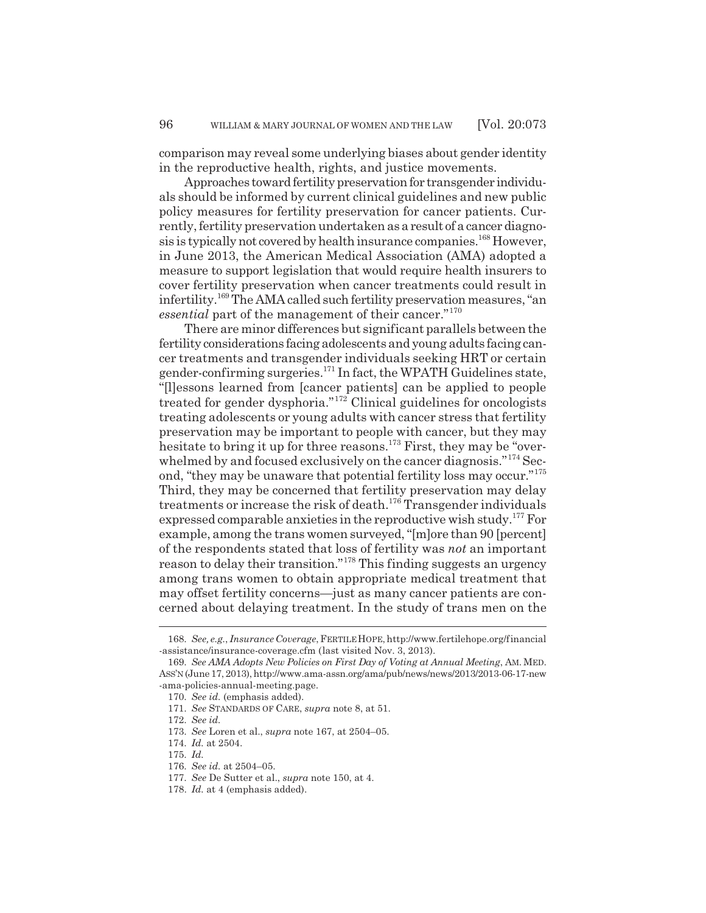comparison may reveal some underlying biases about gender identity in the reproductive health, rights, and justice movements.

Approaches toward fertility preservation for transgender individuals should be informed by current clinical guidelines and new public policy measures for fertility preservation for cancer patients. Currently, fertility preservation undertaken as a result of a cancer diagnosis is typically not covered by health insurance companies.<sup>168</sup> However, in June 2013, the American Medical Association (AMA) adopted a measure to support legislation that would require health insurers to cover fertility preservation when cancer treatments could result in infertility.169 The AMA called such fertility preservation measures, "an *essential* part of the management of their cancer."<sup>170</sup>

There are minor differences but significant parallels between the fertility considerations facing adolescents and young adults facing cancer treatments and transgender individuals seeking HRT or certain gender-confirming surgeries. $^{171}$  In fact, the WPATH Guidelines state, "[l]essons learned from [cancer patients] can be applied to people treated for gender dysphoria."172 Clinical guidelines for oncologists treating adolescents or young adults with cancer stress that fertility preservation may be important to people with cancer, but they may hesitate to bring it up for three reasons.<sup>173</sup> First, they may be "overwhelmed by and focused exclusively on the cancer diagnosis."<sup>174</sup> Second, "they may be unaware that potential fertility loss may occur."<sup>175</sup> Third, they may be concerned that fertility preservation may delay treatments or increase the risk of death.<sup>176</sup> Transgender individuals expressed comparable anxieties in the reproductive wish study.177 For example, among the trans women surveyed, "[m]ore than 90 [percent] of the respondents stated that loss of fertility was *not* an important reason to delay their transition."178 This finding suggests an urgency among trans women to obtain appropriate medical treatment that may offset fertility concerns—just as many cancer patients are concerned about delaying treatment. In the study of trans men on the

<sup>168.</sup> *See, e.g.*, *Insurance Coverage*, FERTILE HOPE, http://www.fertilehope.org/financial -assistance/insurance-coverage.cfm (last visited Nov. 3, 2013).

<sup>169.</sup> *See AMA Adopts New Policies on First Day of Voting at Annual Meeting*, AM. MED. ASS'N (June 17, 2013), http://www.ama-assn.org/ama/pub/news/news/2013/2013-06-17-new -ama-policies-annual-meeting.page.

<sup>170.</sup> *See id.* (emphasis added).

<sup>171.</sup> *See* STANDARDS OF CARE, *supra* note 8, at 51.

<sup>172.</sup> *See id.*

<sup>173.</sup> *See* Loren et al., *supra* note 167, at 2504–05.

<sup>174.</sup> *Id.* at 2504.

<sup>175.</sup> *Id.*

<sup>176.</sup> *See id.* at 2504–05.

<sup>177.</sup> *See* De Sutter et al., *supra* note 150, at 4.

<sup>178.</sup> *Id.* at 4 (emphasis added).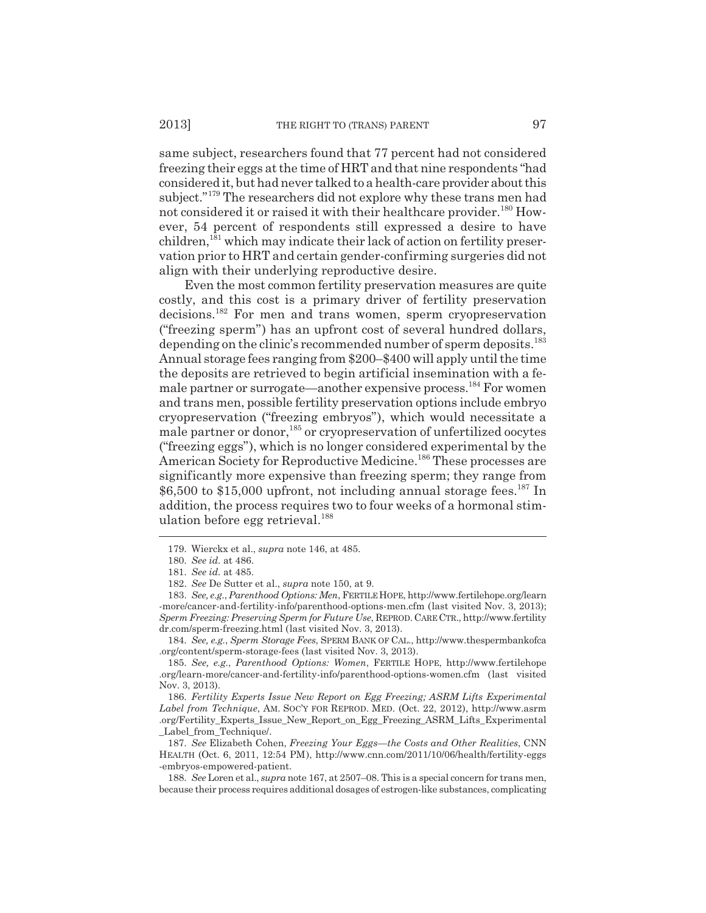same subject, researchers found that 77 percent had not considered freezing their eggs at the time of HRT and that nine respondents "had considered it, but had never talked to a health-care provider about this subject."<sup>179</sup> The researchers did not explore why these trans men had not considered it or raised it with their healthcare provider.<sup>180</sup> However, 54 percent of respondents still expressed a desire to have children,<sup>181</sup> which may indicate their lack of action on fertility preservation prior to HRT and certain gender-confirming surgeries did not align with their underlying reproductive desire.

Even the most common fertility preservation measures are quite costly, and this cost is a primary driver of fertility preservation decisions.182 For men and trans women, sperm cryopreservation ("freezing sperm") has an upfront cost of several hundred dollars, depending on the clinic's recommended number of sperm deposits.<sup>183</sup> Annual storage fees ranging from \$200–\$400 will apply until the time the deposits are retrieved to begin artificial insemination with a female partner or surrogate—another expensive process.<sup>184</sup> For women and trans men, possible fertility preservation options include embryo cryopreservation ("freezing embryos"), which would necessitate a male partner or donor,185 or cryopreservation of unfertilized oocytes ("freezing eggs"), which is no longer considered experimental by the American Society for Reproductive Medicine.<sup>186</sup> These processes are significantly more expensive than freezing sperm; they range from  $$6,500$  to  $$15,000$  upfront, not including annual storage fees.<sup>187</sup> In addition, the process requires two to four weeks of a hormonal stimulation before egg retrieval.<sup>188</sup>

184. *See, e.g.*, *Sperm Storage Fees*, SPERM BANK OF CAL., http://www.thespermbankofca .org/content/sperm-storage-fees (last visited Nov. 3, 2013).

185. *See, e.g.*, *Parenthood Options: Women*, FERTILE HOPE, http://www.fertilehope .org/learn-more/cancer-and-fertility-info/parenthood-options-women.cfm (last visited Nov. 3, 2013).

186. *Fertility Experts Issue New Report on Egg Freezing; ASRM Lifts Experimental Label from Technique*, AM. SOC'Y FOR REPROD. MED. (Oct. 22, 2012), http://www.asrm .org/Fertility\_Experts\_Issue\_New\_Report\_on\_Egg\_Freezing\_ASRM\_Lifts\_Experimental \_Label\_from\_Technique/.

187. *See* Elizabeth Cohen, *Freezing Your Eggs—the Costs and Other Realities*, CNN HEALTH (Oct. 6, 2011, 12:54 PM), http://www.cnn.com/2011/10/06/health/fertility-eggs -embryos-empowered-patient.

188. *See* Loren et al., *supra* note 167, at 2507–08. This is a special concern for trans men, because their process requires additional dosages of estrogen-like substances, complicating

<sup>179.</sup> Wierckx et al., *supra* note 146, at 485.

<sup>180.</sup> *See id.* at 486.

<sup>181.</sup> *See id.* at 485.

<sup>182.</sup> *See* De Sutter et al., *supra* note 150, at 9.

<sup>183.</sup> *See, e.g.*, *Parenthood Options: Men*, FERTILE HOPE, http://www.fertilehope.org/learn -more/cancer-and-fertility-info/parenthood-options-men.cfm (last visited Nov. 3, 2013); *Sperm Freezing: Preserving Sperm for Future Use*, REPROD. CARE CTR., http://www.fertility dr.com/sperm-freezing.html (last visited Nov. 3, 2013).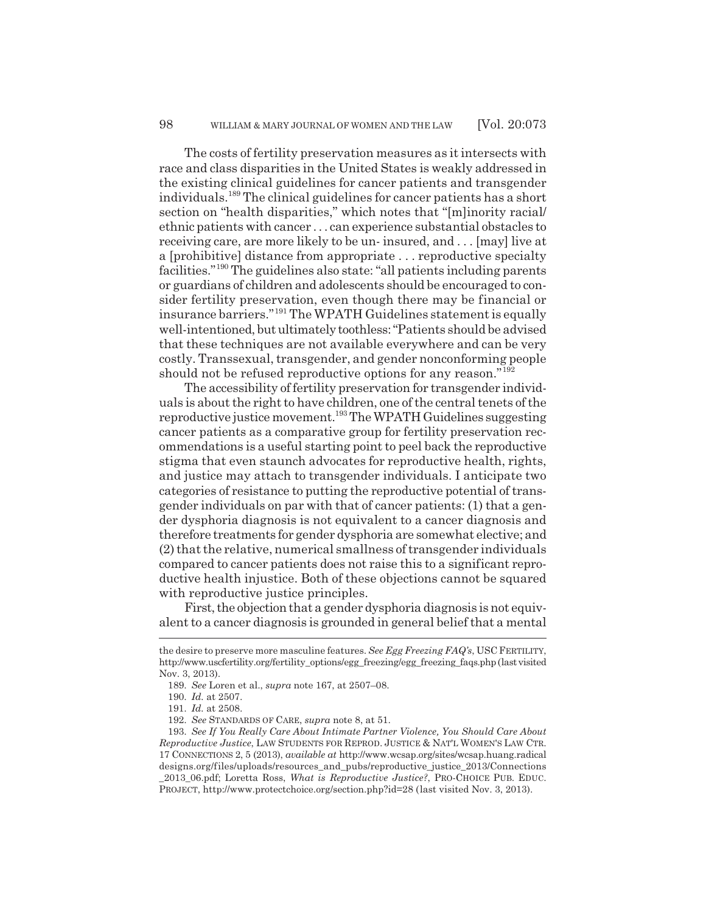The costs of fertility preservation measures as it intersects with race and class disparities in the United States is weakly addressed in the existing clinical guidelines for cancer patients and transgender individuals.189 The clinical guidelines for cancer patients has a short section on "health disparities," which notes that "[m]inority racial/ ethnic patients with cancer . . . can experience substantial obstacles to receiving care, are more likely to be un- insured, and . . . [may] live at a [prohibitive] distance from appropriate . . . reproductive specialty facilities."190 The guidelines also state: "all patients including parents or guardians of children and adolescents should be encouraged to consider fertility preservation, even though there may be financial or insurance barriers."191 The WPATH Guidelines statement is equally well-intentioned, but ultimately toothless: "Patients should be advised that these techniques are not available everywhere and can be very costly. Transsexual, transgender, and gender nonconforming people should not be refused reproductive options for any reason."<sup>192</sup>

The accessibility of fertility preservation for transgender individuals is about the right to have children, one of the central tenets of the reproductive justice movement.193 The WPATH Guidelines suggesting cancer patients as a comparative group for fertility preservation recommendations is a useful starting point to peel back the reproductive stigma that even staunch advocates for reproductive health, rights, and justice may attach to transgender individuals. I anticipate two categories of resistance to putting the reproductive potential of transgender individuals on par with that of cancer patients: (1) that a gender dysphoria diagnosis is not equivalent to a cancer diagnosis and therefore treatments for gender dysphoria are somewhat elective; and (2) that the relative, numerical smallness of transgender individuals compared to cancer patients does not raise this to a significant reproductive health injustice. Both of these objections cannot be squared with reproductive justice principles.

First, the objection that a gender dysphoria diagnosis is not equivalent to a cancer diagnosis is grounded in general belief that a mental

PROJECT, http://www.protectchoice.org/section.php?id=28 (last visited Nov. 3, 2013).

the desire to preserve more masculine features. *See Egg Freezing FAQ's*, USC FERTILITY, http://www.uscfertility.org/fertility\_options/egg\_freezing/egg\_freezing\_faqs.php (last visited Nov. 3, 2013).

<sup>189.</sup> *See* Loren et al., *supra* note 167, at 2507–08.

<sup>190.</sup> *Id.* at 2507.

<sup>191.</sup> *Id.* at 2508.

<sup>192.</sup> *See* STANDARDS OF CARE, *supra* note 8, at 51.

<sup>193.</sup> *See If You Really Care About Intimate Partner Violence, You Should Care About Reproductive Justice*, LAW STUDENTS FOR REPROD. JUSTICE & NAT'L WOMEN'S LAW CTR. 17 CONNECTIONS 2, 5 (2013), *available at* http://www.wcsap.org/sites/wcsap.huang.radical designs.org/files/uploads/resources\_and\_pubs/reproductive\_justice\_2013/Connections \_2013\_06.pdf; Loretta Ross, *What is Reproductive Justice?*, PRO-CHOICE PUB. EDUC.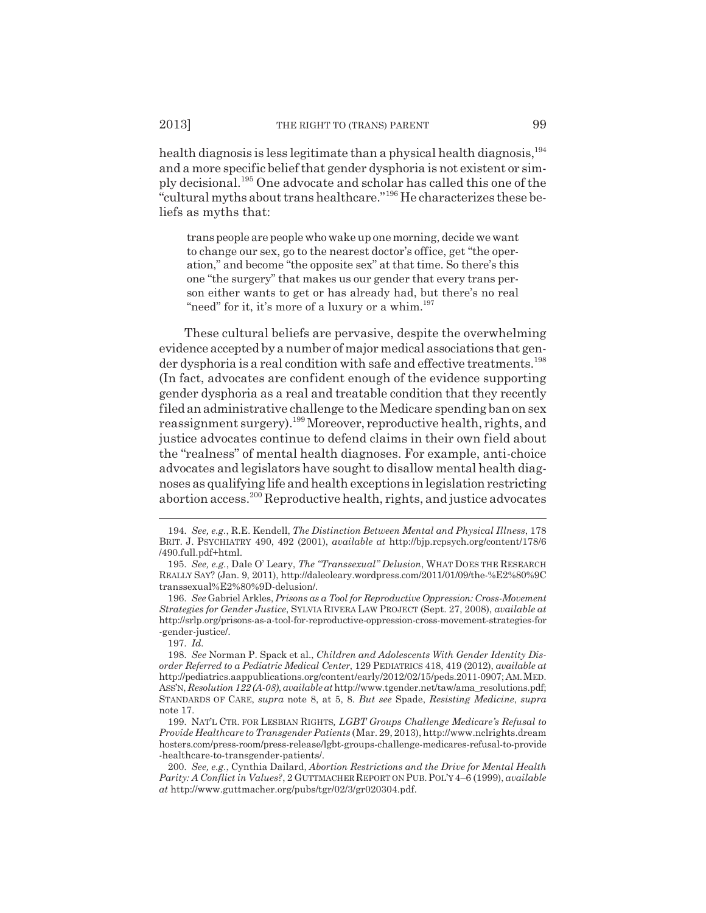health diagnosis is less legitimate than a physical health diagnosis,<sup>194</sup> and a more specific belief that gender dysphoria is not existent or simply decisional.195 One advocate and scholar has called this one of the "cultural myths about trans healthcare."196 He characterizes these beliefs as myths that:

trans people are people who wake up one morning, decide we want to change our sex, go to the nearest doctor's office, get "the operation," and become "the opposite sex" at that time. So there's this one "the surgery" that makes us our gender that every trans person either wants to get or has already had, but there's no real "need" for it, it's more of a luxury or a whim. $197$ 

These cultural beliefs are pervasive, despite the overwhelming evidence accepted by a number of major medical associations that gender dysphoria is a real condition with safe and effective treatments.<sup>198</sup> (In fact, advocates are confident enough of the evidence supporting gender dysphoria as a real and treatable condition that they recently filed an administrative challenge to the Medicare spending ban on sex reassignment surgery).<sup>199</sup> Moreover, reproductive health, rights, and justice advocates continue to defend claims in their own field about the "realness" of mental health diagnoses. For example, anti-choice advocates and legislators have sought to disallow mental health diagnoses as qualifying life and health exceptions in legislation restricting abortion access.200 Reproductive health, rights, and justice advocates

<sup>194.</sup> *See, e.g.*, R.E. Kendell, *The Distinction Between Mental and Physical Illness*, 178 BRIT. J. PSYCHIATRY 490, 492 (2001), *available at* http://bjp.rcpsych.org/content/178/6 /490.full.pdf+html.

<sup>195.</sup> *See, e.g.*, Dale O' Leary, *The "Transsexual" Delusion*, WHAT DOES THE RESEARCH REALLY SAY? (Jan. 9, 2011), http://daleoleary.wordpress.com/2011/01/09/the-%E2%80%9C transsexual%E2%80%9D-delusion/.

<sup>196.</sup> *See* Gabriel Arkles, *Prisons as a Tool for Reproductive Oppression: Cross-Movement Strategies for Gender Justice*, SYLVIA RIVERA LAW PROJECT (Sept. 27, 2008), *available at* http://srlp.org/prisons-as-a-tool-for-reproductive-oppression-cross-movement-strategies-for -gender-justice/.

<sup>197.</sup> *Id.*

<sup>198.</sup> *See* Norman P. Spack et al., *Children and Adolescents With Gender Identity Disorder Referred to a Pediatric Medical Center*, 129 PEDIATRICS 418, 419 (2012), *available at* http://pediatrics.aappublications.org/content/early/2012/02/15/peds.2011-0907; AM.MED. ASS'N, *Resolution 122 (A-08)*, *available at* http://www.tgender.net/taw/ama\_resolutions.pdf; STANDARDS OF CARE, *supra* note 8, at 5, 8. *But see* Spade, *Resisting Medicine*, *supra* note 17.

<sup>199.</sup> NAT'L CTR. FOR LESBIAN RIGHTS*, LGBT Groups Challenge Medicare's Refusal to Provide Healthcare to Transgender Patients* (Mar. 29, 2013), http://www.nclrights.dream hosters.com/press-room/press-release/lgbt-groups-challenge-medicares-refusal-to-provide -healthcare-to-transgender-patients/.

<sup>200.</sup> *See, e.g.*, Cynthia Dailard, *Abortion Restrictions and the Drive for Mental Health Parity: A Conflict in Values?*, 2 GUTTMACHER REPORT ON PUB.POL'Y 4–6 (1999), *available at* http://www.guttmacher.org/pubs/tgr/02/3/gr020304.pdf.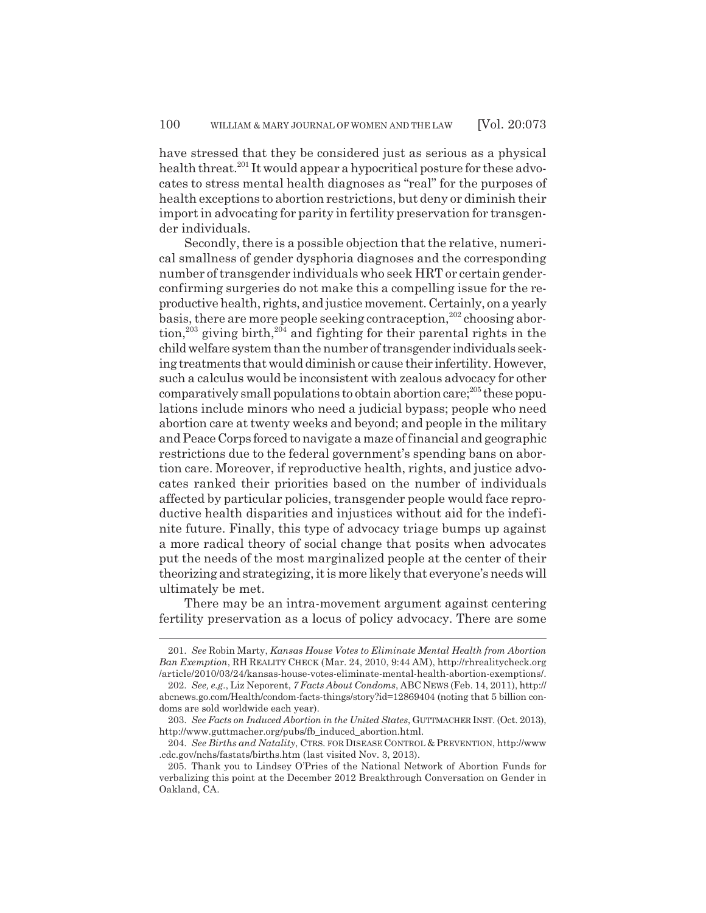have stressed that they be considered just as serious as a physical health threat.<sup>201</sup> It would appear a hypocritical posture for these advocates to stress mental health diagnoses as "real" for the purposes of health exceptions to abortion restrictions, but deny or diminish their import in advocating for parity in fertility preservation for transgender individuals.

Secondly, there is a possible objection that the relative, numerical smallness of gender dysphoria diagnoses and the corresponding number of transgender individuals who seek HRT or certain genderconfirming surgeries do not make this a compelling issue for the reproductive health, rights, and justice movement. Certainly, on a yearly basis, there are more people seeking contraception,  $202$  choosing abortion,<sup>203</sup> giving birth,<sup>204</sup> and fighting for their parental rights in the child welfare system than the number of transgender individuals seeking treatments that would diminish or cause their infertility. However, such a calculus would be inconsistent with zealous advocacy for other comparatively small populations to obtain abortion care; $^{205}$  these populations include minors who need a judicial bypass; people who need abortion care at twenty weeks and beyond; and people in the military and Peace Corps forced to navigate a maze of financial and geographic restrictions due to the federal government's spending bans on abortion care. Moreover, if reproductive health, rights, and justice advocates ranked their priorities based on the number of individuals affected by particular policies, transgender people would face reproductive health disparities and injustices without aid for the indefinite future. Finally, this type of advocacy triage bumps up against a more radical theory of social change that posits when advocates put the needs of the most marginalized people at the center of their theorizing and strategizing, it is more likely that everyone's needs will ultimately be met.

There may be an intra-movement argument against centering fertility preservation as a locus of policy advocacy. There are some

<sup>201.</sup> *See* Robin Marty, *Kansas House Votes to Eliminate Mental Health from Abortion Ban Exemption*, RH REALITY CHECK (Mar. 24, 2010, 9:44 AM), http://rhrealitycheck.org /article/2010/03/24/kansas-house-votes-eliminate-mental-health-abortion-exemptions/.

<sup>202.</sup> *See, e.g.*, Liz Neporent, *7 Facts About Condoms*, ABC NEWS (Feb. 14, 2011), http:// abcnews.go.com/Health/condom-facts-things/story?id=12869404 (noting that 5 billion condoms are sold worldwide each year).

<sup>203.</sup> *See Facts on Induced Abortion in the United States*, GUTTMACHER INST. (Oct. 2013), http://www.guttmacher.org/pubs/fb\_induced\_abortion.html.

<sup>204.</sup> *See Births and Natality*, CTRS. FOR DISEASE CONTROL & PREVENTION, http://www .cdc.gov/nchs/fastats/births.htm (last visited Nov. 3, 2013).

<sup>205.</sup> Thank you to Lindsey O'Pries of the National Network of Abortion Funds for verbalizing this point at the December 2012 Breakthrough Conversation on Gender in Oakland, CA.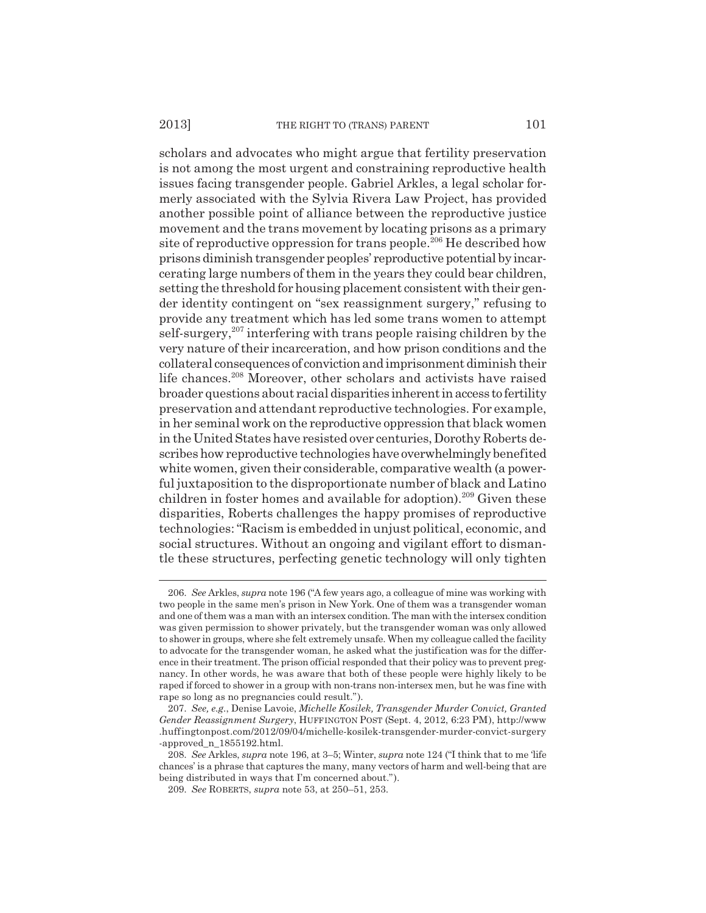scholars and advocates who might argue that fertility preservation is not among the most urgent and constraining reproductive health issues facing transgender people. Gabriel Arkles, a legal scholar formerly associated with the Sylvia Rivera Law Project, has provided another possible point of alliance between the reproductive justice movement and the trans movement by locating prisons as a primary site of reproductive oppression for trans people.<sup>206</sup> He described how prisons diminish transgender peoples' reproductive potential by incarcerating large numbers of them in the years they could bear children, setting the threshold for housing placement consistent with their gender identity contingent on "sex reassignment surgery," refusing to provide any treatment which has led some trans women to attempt self-surgery, $207$  interfering with trans people raising children by the very nature of their incarceration, and how prison conditions and the collateral consequences of conviction and imprisonment diminish their life chances.<sup>208</sup> Moreover, other scholars and activists have raised broader questions about racial disparities inherent in access to fertility preservation and attendant reproductive technologies. For example, in her seminal work on the reproductive oppression that black women in the United States have resisted over centuries, Dorothy Roberts describes how reproductive technologies have overwhelmingly benefited white women, given their considerable, comparative wealth (a powerful juxtaposition to the disproportionate number of black and Latino children in foster homes and available for adoption).<sup>209</sup> Given these disparities, Roberts challenges the happy promises of reproductive technologies: "Racism is embedded in unjust political, economic, and social structures. Without an ongoing and vigilant effort to dismantle these structures, perfecting genetic technology will only tighten

<sup>206.</sup> *See* Arkles, *supra* note 196 ("A few years ago, a colleague of mine was working with two people in the same men's prison in New York. One of them was a transgender woman and one of them was a man with an intersex condition. The man with the intersex condition was given permission to shower privately, but the transgender woman was only allowed to shower in groups, where she felt extremely unsafe. When my colleague called the facility to advocate for the transgender woman, he asked what the justification was for the difference in their treatment. The prison official responded that their policy was to prevent pregnancy. In other words, he was aware that both of these people were highly likely to be raped if forced to shower in a group with non-trans non-intersex men, but he was fine with rape so long as no pregnancies could result.").

<sup>207.</sup> *See, e.g.*, Denise Lavoie, *Michelle Kosilek, Transgender Murder Convict, Granted Gender Reassignment Surgery*, HUFFINGTON POST (Sept. 4, 2012, 6:23 PM), http://www .huffingtonpost.com/2012/09/04/michelle-kosilek-transgender-murder-convict-surgery -approved n 1855192.html.

<sup>208.</sup> *See* Arkles, *supra* note 196, at 3–5; Winter, *supra* note 124 ("I think that to me 'life chances' is a phrase that captures the many, many vectors of harm and well-being that are being distributed in ways that I'm concerned about.").

<sup>209.</sup> *See* ROBERTS, *supra* note 53, at 250–51, 253.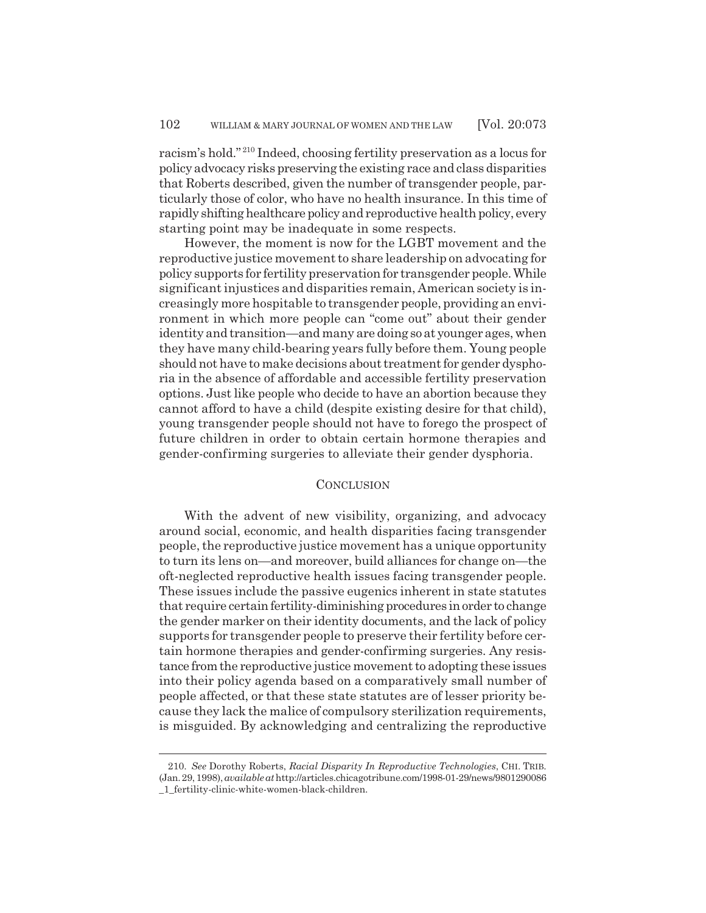racism's hold." 210 Indeed, choosing fertility preservation as a locus for policy advocacy risks preserving the existing race and class disparities that Roberts described, given the number of transgender people, particularly those of color, who have no health insurance. In this time of rapidly shifting healthcare policy and reproductive health policy, every starting point may be inadequate in some respects.

However, the moment is now for the LGBT movement and the reproductive justice movement to share leadership on advocating for policy supports for fertility preservation for transgender people. While significant injustices and disparities remain, American society is increasingly more hospitable to transgender people, providing an environment in which more people can "come out" about their gender identity and transition—and many are doing so at younger ages, when they have many child-bearing years fully before them. Young people should not have to make decisions about treatment for gender dysphoria in the absence of affordable and accessible fertility preservation options. Just like people who decide to have an abortion because they cannot afford to have a child (despite existing desire for that child), young transgender people should not have to forego the prospect of future children in order to obtain certain hormone therapies and gender-confirming surgeries to alleviate their gender dysphoria.

## **CONCLUSION**

With the advent of new visibility, organizing, and advocacy around social, economic, and health disparities facing transgender people, the reproductive justice movement has a unique opportunity to turn its lens on—and moreover, build alliances for change on—the oft-neglected reproductive health issues facing transgender people. These issues include the passive eugenics inherent in state statutes that require certain fertility-diminishing procedures in order to change the gender marker on their identity documents, and the lack of policy supports for transgender people to preserve their fertility before certain hormone therapies and gender-confirming surgeries. Any resistance from the reproductive justice movement to adopting these issues into their policy agenda based on a comparatively small number of people affected, or that these state statutes are of lesser priority because they lack the malice of compulsory sterilization requirements, is misguided. By acknowledging and centralizing the reproductive

<sup>210.</sup> *See* Dorothy Roberts, *Racial Disparity In Reproductive Technologies*, CHI. TRIB. (Jan. 29, 1998), *available at* http://articles.chicagotribune.com/1998-01-29/news/9801290086 \_1\_fertility-clinic-white-women-black-children.